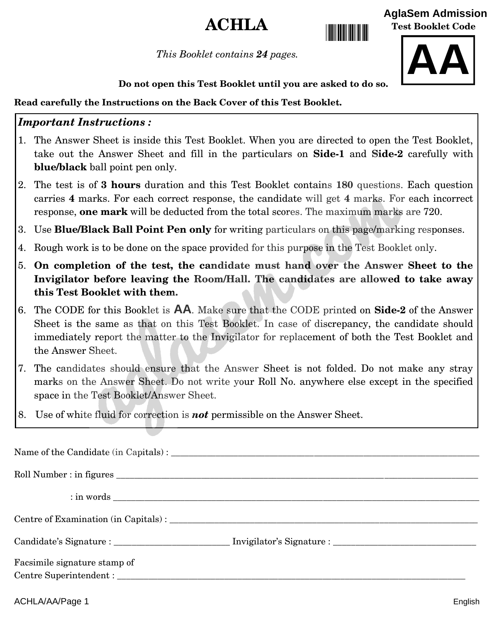# $\bf{ACHI}$   $\bf{A}$

**Test Booklet Code**

*This Booklet contains 24 pages.*



**[AglaSem Admission](https://admission.aglasem.com)**

**Do not open this Test Booklet until you are asked to do so.**

#### **Read carefully the Instructions on the Back Cover of this Test Booklet.**

#### *Important Instructions :*

- 1. The Answer Sheet is inside this Test Booklet. When you are directed to open the Test Booklet, take out the Answer Sheet and fill in the particulars on **Side-1** and **Side-2** carefully with **blue/black** ball point pen only.
- 2. The test is of **3 hours** duration and this Test Booklet contains **180** questions. Each question carries **4** marks. For each correct response, the candidate will get **4** marks. For each incorrect response, **one mark** will be deducted from the total scores. The maximum marks are 720.
- 3. Use **Blue/Black Ball Point Pen only** for writing particulars on this page/marking responses.
- 4. Rough work is to be done on the space provided for this purpose in the Test Booklet only.
- 5. **On [completion of the test, the candidate must hand over the Answer Sheet](https://aglasem.com/) to the Invigilator before leaving the Room/Hall. The candidates are allowed to take away this Test Booklet with them.**
- 6. The CODE for this Booklet is **AA**. Make sure that the CODE printed on **Side-2** of the Answer Sheet is the same as that on this Test Booklet. In case of discrepancy, the candidate should immediately report the matter to the Invigilator for replacement of both the Test Booklet and the Answer Sheet.
- 7. The candidates should ensure that the Answer Sheet is not folded. Do not make any stray marks on the Answer Sheet. Do not write your Roll No. anywhere else except in the specified space in the Test Booklet/Answer Sheet.
- 8. Use of white fluid for correction is *not* permissible on the Answer Sheet.

|                              | Roll Number : in figures |
|------------------------------|--------------------------|
|                              |                          |
|                              |                          |
|                              |                          |
| Facsimile signature stamp of |                          |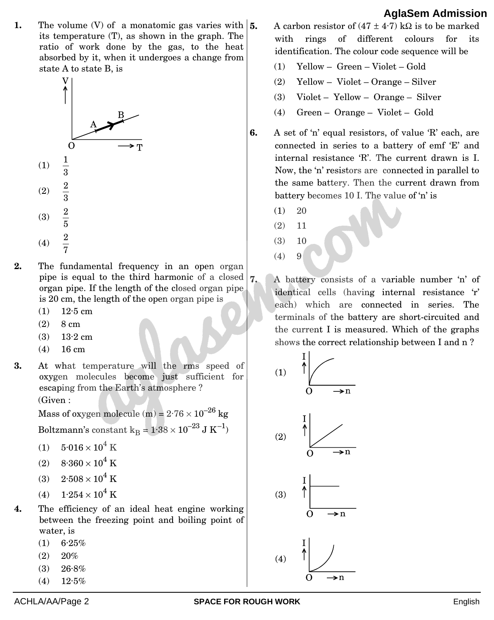**1.** The volume (V) of a monatomic gas varies with  $\vert 5$ . its temperature (T), as shown in the graph. The ratio of work done by the gas, to the heat absorbed by it, when it undergoes a change from state A to state B, is



- **2.** The fundamental frequency in an open organ pip[e is equal to the third harmonic of a closed](https://aglasem.com/)  organ pipe. If the length of the closed organ pipe is 20 cm, the length of the open organ pipe is
	- $(1)$  12.5 cm
	- $(2)$  8 cm
	- (3) 13·2 cm
	- $(4)$  16 cm
- **3.** At what temperature will the rms speed of oxygen molecules become just sufficient for escaping from the Earth's atmosphere ?

(Given :

Mass of oxygen molecule (m) =  $2.76 \times 10^{-26}$  kg Boltzmann's constant  $\rm k_B$  =  $1{\cdot}38\times10^{-23}$  J  $\rm K^{-1})$ 

- (1)  $5.016 \times 10^4$  K
- (2)  $8.360 \times 10^4$  K
- (3)  $2.508 \times 10^4$  K
- (4)  $1.254 \times 10^4$  K
- **4.** The efficiency of an ideal heat engine working between the freezing point and boiling point of water, is
	- $(1)$  6.25%
	- $(2)$  20%
	- $(3)$  26.8%
	- $(4)$  12.5%
- A carbon resistor of  $(47 \pm 4.7)$  kQ is to be marked with rings of different colours for its identification. The colour code sequence will be
	- (1) Yellow Green Violet Gold
	- (2) Yellow Violet Orange Silver
	- (3) Violet Yellow Orange Silver
	- (4) Green Orange Violet Gold
- **6.** A set of 'n' equal resistors, of value 'R' each, are connected in series to a battery of emf 'E' and internal resistance 'R'. The current drawn is I. Now, the 'n' resistors are connected in parallel to the same battery. Then the current drawn from battery becomes 10 I. The value of 'n' is
	- $(1)$  20
	- (2) 11
	- (3) 10
	- $(4) 9$

**7.** A battery consists of a variable number 'n' of identical cells (having internal resistance 'r' each) which are connected in series. The terminals of the battery are short-circuited and the current I is measured. Which of the graphs shows the correct relationship between I and n ?

$$
(1) \quad \sqrt{\frac{1}{0} \qquad \longrightarrow n}
$$



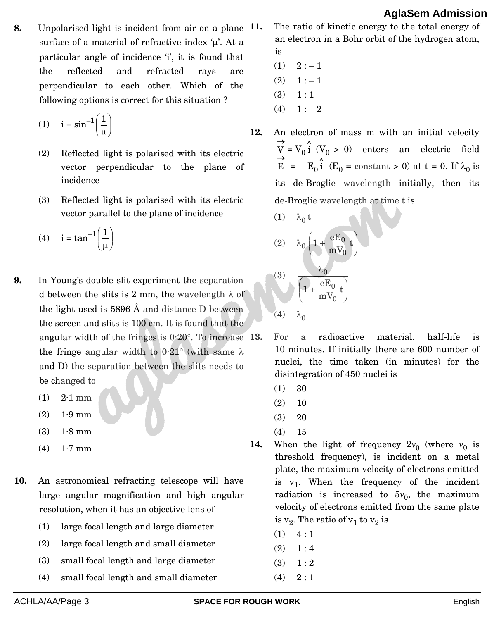**8.** Unpolarised light is incident from air on a plane surface of a material of refractive index  $\mu$ . At a particular angle of incidence 'i', it is found that the reflected and refracted rays are perpendicular to each other. Which of the following options is correct for this situation ?

$$
(1) \quad i = \sin^{-1}\left(\frac{1}{\mu}\right)
$$

- (2) Reflected light is polarised with its electric vector perpendicular to the plane of incidence
- (3) Reflected light is polarised with its electric vector parallel to the plane of incidence
- (4)  $i = \tan^{-1} \left( \frac{1}{1} \right)$ J  $\mathcal{L}_{\mathcal{L}}$  $\parallel$  $\overline{\mathcal{L}}$ ſ μ 1
- **9.** In Young's double slit experiment the separation d between the slits is 2 mm, the wavelength  $\lambda$  of the light used is 5896 Å and distance D between the [screen and slits is 100 cm. It is found that the](https://aglasem.com/)  angular width of the fringes is  $0.20^\circ$ . To increase 13. the fringe angular width to  $0.21^{\circ}$  (with same  $\lambda$ and D) the separation between the slits needs to be changed to
	- $(1)$  2.1 mm
	- (2) 1·9 mm
	- (3) 1·8 mm
	- $(4)$  1.7 mm
- **10.** An astronomical refracting telescope will have large angular magnification and high angular resolution, when it has an objective lens of
	- (1) large focal length and large diameter
	- (2) large focal length and small diameter
	- (3) small focal length and large diameter
	- (4) small focal length and small diameter

**11.** The ratio of kinetic energy to the total energy of an electron in a Bohr orbit of the hydrogen atom, is

- $(1)$  2 :  $-1$
- $(2) \quad 1:-1$
- $(3) \quad 1 : 1$
- $(4) \quad 1:-2$
- **12.** An electron of mass m with an initial velocity  $\rightarrow$  $V = V_0 \hat{i}$  ( $V_0 > 0$ ) enters an electric field  $\vec{E}$  = -  $E_0 \hat{i}$  ( $E_0$  = constant > 0) at t = 0. If  $\lambda_0$  is its de-Broglie wavelength initially, then its de-Broglie wavelength at time t is

(1) 
$$
\lambda_0 t
$$
  
\n(2)  $\lambda_0 \left( 1 + \frac{eE_0}{mV_0} t \right)$   
\n(3)  $\frac{\lambda_0}{\left( 1 + \frac{eE_0}{mV_0} t \right)}$   
\n(4)  $\lambda_0$ 

- **13.** For a radioactive material, half-life is 10 minutes. If initially there are 600 number of nuclei, the time taken (in minutes) for the disintegration of 450 nuclei is
	- (1) 30
	- $(2)$  10
	- (3) 20
	- (4) 15
- **14.** When the light of frequency  $2v_0$  (where  $v_0$  is threshold frequency), is incident on a metal plate, the maximum velocity of electrons emitted is  $v_1$ . When the frequency of the incident radiation is increased to  $5v_0$ , the maximum velocity of electrons emitted from the same plate is  $\mathrm{v}_2.$  The ratio of  $\mathrm{v}_1$  to  $\mathrm{v}_2$  is
	- $(1) \quad 4:1$
	- $(2) \quad 1:4$
	- $(3) \quad 1 : 2$
	- $(4) \quad 2:1$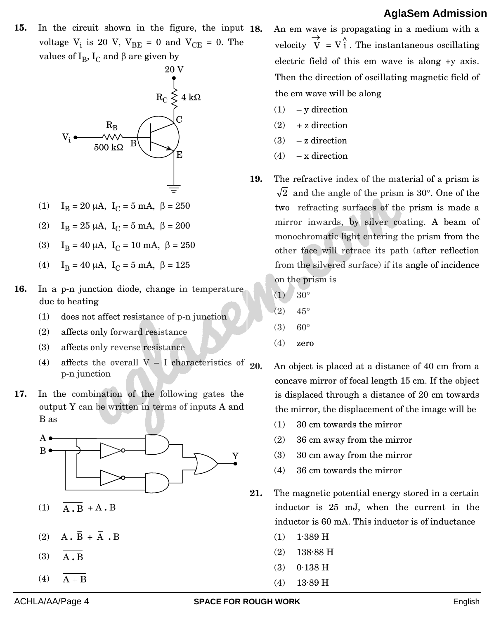**15.** In the circuit shown in the figure, the input  $\begin{bmatrix} 18 \\ 18 \end{bmatrix}$ voltage  $V_i$  is 20 V,  $V_{BE} = 0$  and  $V_{CE} = 0$ . The values of  $\text{I}_{\text{B}}$ ,  $\text{I}_{\text{C}}$  and  $\beta$  are given by



- (1)  $I_B = 20 \mu A$ ,  $I_C = 5 \mu A$ ,  $\beta = 250$
- (2)  $I_B = 25 \mu A$ ,  $I_C = 5 \mu A$ ,  $\beta = 200$
- (3)  $I_B = 40 \mu A$ ,  $I_C = 10 \mu A$ ,  $\beta = 250$
- (4)  $I_B = 40 \mu A$ ,  $I_C = 5 \mu A$ ,  $\beta = 125$
- **16.** In a p-n junction diode, change in temperature due to heating
	- (1) does not affect resistance of p-n junction
	- (2) affects only forward resistance
	- (3) affects only reverse resistance
	- (4) affects the overall  $V I$  characteristics of p-n junction
- **17.** In [the combination of the following gates the](https://aglasem.com/)  output Y can be written in terms of inputs A and B as



- (1) A **.** B + A **.** B
- (2)  $\overline{A} \cdot \overline{B} + \overline{A} \cdot B$
- (3) A **.** B
- $(4)$  A + B

**18.** An em wave is propagating in a medium with a velocity  $\rightarrow$  $\overrightarrow{V}$  =  $V$ <sup>2</sup> . The instantaneous oscillating electric field of this em wave is along +y axis. Then the direction of oscillating magnetic field of the em wave will be along

- $(1)$  y direction
- $(2)$  + z direction
- $(3)$  z direction
- $(4)$  x direction
- **19.** The refractive index of the material of a prism is 2 and the angle of the prism is 30°. One of the two refracting surfaces of the prism is made a mirror inwards, by silver coating. A beam of monochromatic light entering the prism from the other face will retrace its path (after reflection from the silvered surface) if its angle of incidence on the prism is
	- $(1) 30^{\circ}$
	- $(2)$  45°
	- $(3) 60^{\circ}$
	- $(4)$  zero

**20.** An object is placed at a distance of 40 cm from a concave mirror of focal length 15 cm. If the object is displaced through a distance of 20 cm towards the mirror, the displacement of the image will be

- (1) 30 cm towards the mirror
- (2) 36 cm away from the mirror
- (3) 30 cm away from the mirror
- (4) 36 cm towards the mirror
- **21.** The magnetic potential energy stored in a certain inductor is 25 mJ, when the current in the inductor is 60 mA. This inductor is of inductance
	- $(1)$  1.389 H
	- (2) 138·88 H
	- (3) 0·138 H
	- (4) 13·89 H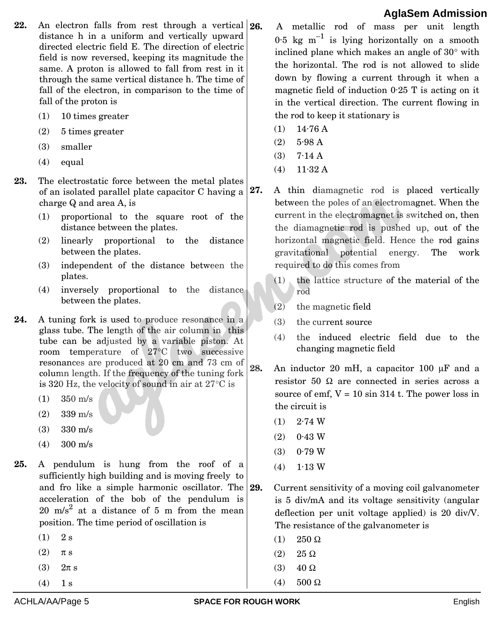- 22. An electron falls from rest through a vertical 26. distance h in a uniform and vertically upward directed electric field E. The direction of electric field is now reversed, keeping its magnitude the same. A proton is allowed to fall from rest in it through the same vertical distance h. The time of fall of the electron, in comparison to the time of fall of the proton is
	- (1) 10 times greater
	- (2) 5 times greater
	- (3) smaller
	- (4) equal
- **23.** The electrostatic force between the metal plates of an isolated parallel plate capacitor C having a charge Q and area A, is
	- (1) proportional to the square root of the distance between the plates.
	- (2) linearly proportional to the distance between the plates.
	- (3) independent of the distance between the plates.
	- (4) inversely proportional to the distance between the plates.
- **24.** A tuning fork is used to produce resonance in a gla[ss tube. The length of the air column in this](https://aglasem.com/)  tube can be adjusted by a variable piston. At room temperature of 27°C two successive resonances are produced at 20 cm and 73 cm of column length. If the frequency of the tuning fork is 320 Hz, the velocity of sound in air at  $27^{\circ}$ C is
	- (1) 350 m/s
	- (2) 339 m/s
	- (3) 330 m/s
	- (4) 300 m/s
- **25.** A pendulum is hung from the roof of a sufficiently high building and is moving freely to and fro like a simple harmonic oscillator. The 29. acceleration of the bob of the pendulum is  $20 \text{ m/s}^2$  at a distance of 5 m from the mean position. The time period of oscillation is
	- $(1)$  2 s
	- $(2)$   $\pi s$
	- (3)  $2\pi s$
	- $(4)$  1 s
- **26.** A metallic rod of mass per unit length  $0.5 \text{ kg m}^{-1}$  is lying horizontally on a smooth inclined plane which makes an angle of  $30^{\circ}$  with the horizontal. The rod is not allowed to slide down by flowing a current through it when a magnetic field of induction 0·25 T is acting on it in the vertical direction. The current flowing in the rod to keep it stationary is
- $(1)$  14.76 A
- (2) 5·98 A
- $(3)$  7.14 A
- $(4)$  11.32 A
- **27.** A thin diamagnetic rod is placed vertically between the poles of an electromagnet. When the current in the electromagnet is switched on, then the diamagnetic rod is pushed up, out of the horizontal magnetic field. Hence the rod gains gravitational potential energy. The work required to do this comes from
	- (1) the lattice structure of the material of the rod
	- (2) the magnetic field
	- (3) the current source
	- (4) the induced electric field due to the changing magnetic field
- $28.$  An inductor 20 mH, a capacitor 100  $\mu$ F and a resistor 50  $\Omega$  are connected in series across a source of emf,  $V = 10 \sin 314$  t. The power loss in the circuit is
	- $(1)$  2.74 W
	- $(2)$  0.43 W
	- $(3)$  0.79 W
	- $(4)$  1.13 W
- **29.** Current sensitivity of a moving coil galvanometer is 5 div/mA and its voltage sensitivity (angular deflection per unit voltage applied) is 20 div/V. The resistance of the galvanometer is
	- (1)  $250 \Omega$
	- $(2)$  25  $\Omega$
	- (3)  $40 \Omega$
	- (4)  $500 \Omega$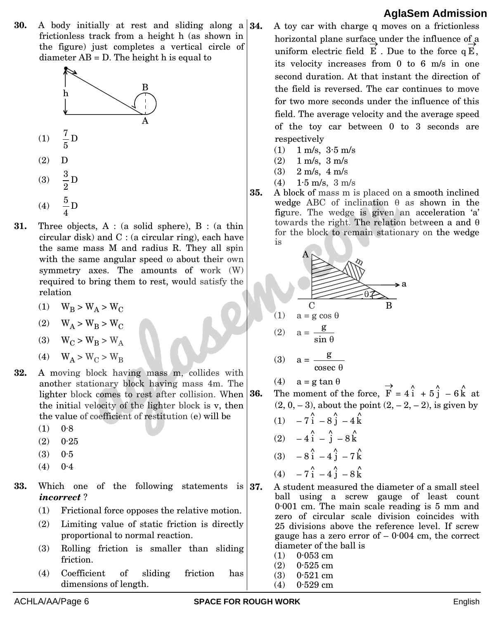**30.** A body initially at rest and sliding along a 34. frictionless track from a height h (as shown in the figure) just completes a vertical circle of diameter AB = D. The height h is equal to



- **31.** Three objects, A : (a solid sphere), B : (a thin cir[cular disk\) and C : \(a circular ring\), each have](https://aglasem.com/)  the same mass M and radius R. They all spin with the same angular speed  $\omega$  about their own symmetry axes. The amounts of work (W) required to bring them to rest, would satisfy the relation
	- (1)  $W_B > W_A > W_C$
	- (2)  $W_A > W_B > W_C$
	- (3)  $W_C > W_R > W_A$
	- (4)  $W_A > W_C > W_B$
- **32.** A moving block having mass m, collides with another stationary block having mass 4m. The lighter block comes to rest after collision. When the initial velocity of the lighter block is v, then the value of coefficient of restitution (e) will be
	- $(1) 0.8$
	- $(2)$  0.25
	- $(3) 0.5$
	- $(4)$  0.4
- **33.** Which one of the following statements is 37. *incorrect* ?
	- (1) Frictional force opposes the relative motion.
	- (2) Limiting value of static friction is directly proportional to normal reaction.
	- (3) Rolling friction is smaller than sliding friction.
	- (4) Coefficient of sliding friction has dimensions of length.
- **34.** A toy car with charge q moves on a frictionless horizontal plane surface under the influence of a uniform electric field  $E$  . Due to the force  $qE$ , its velocity increases from 0 to 6 m/s in one second duration. At that instant the direction of the field is reversed. The car continues to move for two more seconds under the influence of this field. The average velocity and the average speed of the toy car between 0 to 3 seconds are respectively
	- (1) 1 m/s, 3·5 m/s
	- $(2)$  1 m/s, 3 m/s
	- $(3)$  2 m/s, 4 m/s
- (4) 1·5 m/s, 3 m/s
- **35.** A block of mass m is placed on a smooth inclined wedge ABC of inclination  $\theta$  as shown in the figure. The wedge is given an acceleration 'a' towards the right. The relation between a and  $\theta$ for the block to remain stationary on the wedge is



$$
(3) \quad a = \frac{g}{\csc \theta}
$$

(4)  $a = g \tan \theta$ 

**36.** The moment of the force,  $\rightarrow$  $\overrightarrow{F}$  = 4 $\hat{i}$  + 5 $\hat{j}$  - 6 $\hat{k}$  at  $(2, 0, -3)$ , about the point  $(2, -2, -2)$ , is given by

- (1)  $-7\hat{i} 8\hat{j} 4\hat{k}$ (2)  $-4\hat{i} - \hat{j} - 8\hat{k}$ (3)  $-8\hat{i} - 4\hat{j} - 7\hat{k}$ (4)  $-7\hat{i} - 4\hat{j} - 8\hat{k}$
- **37.** A student measured the diameter of a small steel ball using a screw gauge of least count 0·001 cm. The main scale reading is 5 mm and zero of circular scale division coincides with 25 divisions above the reference level. If screw gauge has a zero error of  $-0.004$  cm, the correct diameter of the ball is
	- $(1)$  0.053 cm
	- (2) 0·525 cm
	- (3) 0·521 cm
	- $(4)$  0.529 cm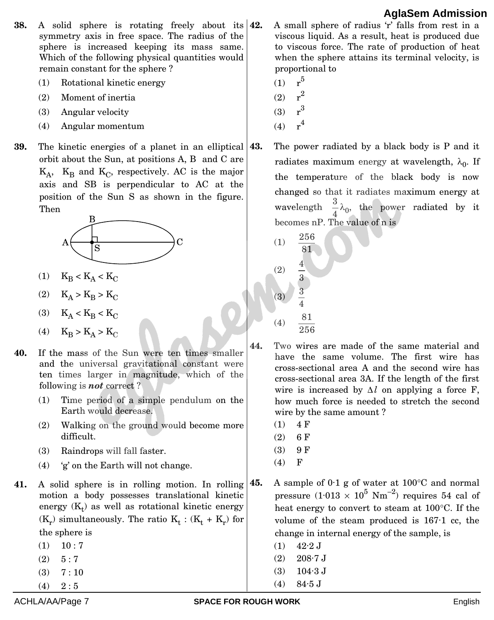- **38.** A solid sphere is rotating freely about its **42.** symmetry axis in free space. The radius of the sphere is increased keeping its mass same. Which of the following physical quantities would remain constant for the sphere ?
	- (1) Rotational kinetic energy
	- (2) Moment of inertia
	- (3) Angular velocity
	- (4) Angular momentum
- **39.** The kinetic energies of a planet in an elliptical **43.** orb[it about the Sun, at positions A, B and C are](https://aglasem.com/)   $K_A$ ,  $K_B$  and  $K_C$ , respectively. AC is the major axis and SB is perpendicular to AC at the position of the Sun S as shown in the figure. Then



- (1)  $K_B < K_A < K_C$
- (2)  $K_A > K_B > K_C$
- (3)  $K_A < K_B < K_C$
- (4)  $K_B > K_A > K_C$
- **40.** If the mass of the Sun were ten times smaller and the universal gravitational constant were ten times larger in magnitude, which of the following is *not* correct ?
	- (1) Time period of a simple pendulum on the Earth would decrease.
	- (2) Walking on the ground would become more difficult.
	- (3) Raindrops will fall faster.
	- (4) 'g' on the Earth will not change.
- 41. A solid sphere is in rolling motion. In rolling 45. motion a body possesses translational kinetic energy  $(K_t)$  as well as rotational kinetic energy  $(K_r)$  simultaneously. The ratio  $K_t$ :  $(K_t + K_r)$  for the sphere is
	- $(1)$  10 : 7
	- $(2) \quad 5:7$
	- $(3) \quad 7:10$
	- $(4) \quad 2:5$
- **42.** A small sphere of radius 'r' falls from rest in a viscous liquid. As a result, heat is produced due to viscous force. The rate of production of heat when the sphere attains its terminal velocity, is proportional to
	- $(1)$  $r<sup>5</sup>$  $(2)$
	- $r^2$  $r<sup>3</sup>$
	- $(3)$  $(4)$  $r<sup>4</sup>$
- **43.** The power radiated by a black body is P and it radiates maximum energy at wavelength,  $\lambda_0$ . If the temperature of the black body is now changed so that it radiates maximum energy at wavelength  $\frac{6}{4}$  $\frac{3}{4}\lambda_0$ , the power radiated by it becomes nP. The value of n is
	- (1) 81 256 (2) 3 4 (3) 4 3 (4) 256 81
- **44.** Two wires are made of the same material and have the same volume. The first wire has cross-sectional area A and the second wire has cross-sectional area 3A. If the length of the first wire is increased by  $\Delta l$  on applying a force F, how much force is needed to stretch the second wire by the same amount ?
	- $(1)$  4 F
	- $(2) 6 F$
	- $(3)$  9 F
	- (4) F
	- A sample of  $0.1$  g of water at  $100^{\circ}$ C and normal pressure  $(1.013 \times 10^5 \text{ Nm}^{-2})$  requires 54 cal of heat energy to convert to steam at  $100^{\circ}$ C. If the volume of the steam produced is 167·1 cc, the change in internal energy of the sample, is
		- $(1)$  42.2 J
		- $(2)$  208.7 J
		- (3) 104·3 J
		- (4) 84·5 J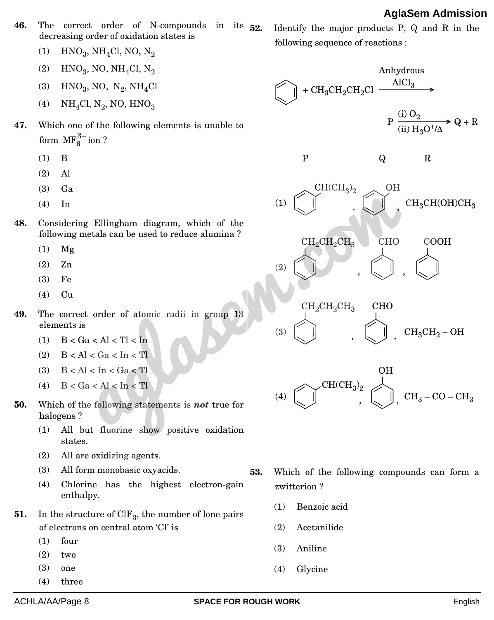- **46.** The correct order of N-compounds in its  $\vert_{52}$ . decreasing order of oxidation states is
	- (1)  $HNO_3$ , NH<sub>4</sub>Cl, NO, N<sub>2</sub>
	- (2)  $HNO_3$ , NO, NH<sub>4</sub>Cl, N<sub>2</sub>
	- (3)  $HNO_3$ , NO,  $N_2$ , NH<sub>4</sub>Cl
	- (4)  $NH<sub>4</sub>Cl, N<sub>2</sub>, NO, HNO<sub>3</sub>$
- **47.** Which one of the following elements is unable to form  $\text{MF}_6^{3-}$ ion ?
	- (1) B
	- (2) Al
	- (3) Ga
	- (4) In
- **48.** Co[nsidering Ellingham diagram, which of the](https://aglasem.com/)  following metals can be used to reduce alumina ?
	- (1) Mg
	- (2) Zn
	- (3) Fe
	- (4) Cu
- **49.** The correct order of atomic radii in group 13 elements is
	- (1)  $B < Ga < Al < TI < In$
	- (2) B < Al < Ga < In < Tl
	- $(3)$  B < Al < In < Ga < Tl
	- (4)  $B < Ga < Al < In < T$
- **50.** Which of the following statements is *not* true for halogens ?
	- (1) All but fluorine show positive oxidation states.
	- (2) All are oxidizing agents.
	- (3) All form monobasic oxyacids.
	- (4) Chlorine has the highest electron-gain enthalpy.
- **51.** In the structure of ClF<sub>3</sub>, the number of lone pairs of electrons on central atom 'Cl' is
	- (1) four
	- (2) two
	- (3) one
	- (4) three

**52.** Identify the major products P, Q and R in the following sequence of reactions :

$$
\begin{aligned} &\text{Anhydrous} \\ \begin{tabular}{c} \multicolumn{2}{c}{ \multicolumn{2}{c}{ \multicolumn{2}{c}{ }} \multicolumn{2}{c}{ \multicolumn{2}{c}{ }} \\ \multicolumn{2}{c}{ \multicolumn{2}{c}{ }} & + \text{CH}_3\text{CH}_2\text{CH}_2\text{Cl} & \xrightarrow{\hspace{0.5cm} \text{AlCl}_3} \\ & \text{P} \xrightarrow{\hspace{0.5cm} \text{(i) O}_2} \text{Q} + \text{R} \\ \end{tabular} \end{aligned}
$$



$$
\begin{array}{ccc}\n\text{CH}_2\text{CH}_2\text{CH}_3 & & \text{CHO} \\
\downarrow & & \downarrow \\
\text{CH}_3\text{CH}_2-\text{OH} & & \downarrow \\
\end{array}
$$

$$
\begin{array}{c}\n\text{OH} \\
\text{(4)} \quad \text{CH}(\text{CH}_3)_2 \\
\text{CH}(\text{CH}_3)_2 \\
\text{CH}_3\n\end{array}
$$

- **53.** Which of the following compounds can form a zwitterion ?
	- (1) Benzoic acid
	- (2) Acetanilide
	- (3) Aniline
	- (4) Glycine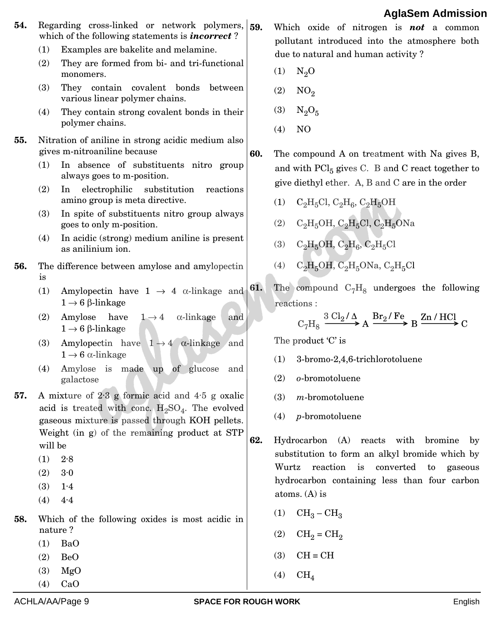- **54.** Regarding cross-linked or network polymers, 59. which of the following statements is *incorrect* ?
	- (1) Examples are bakelite and melamine.
	- (2) They are formed from bi- and tri-functional monomers.
	- (3) They contain covalent bonds between various linear polymer chains.
	- (4) They contain strong covalent bonds in their polymer chains.
- **55.** Nitration of aniline in strong acidic medium also gives m-nitroaniline because
	- (1) In absence of substituents nitro group always goes to m-position.
	- (2) In electrophilic substitution reactions amino group is meta directive.
	- (3) In spite of substituents nitro group always goes to only m-position.
	- (4) In acidic (strong) medium aniline is present as anilinium ion.
- **56.** The difference between amylose and amylopectin is
	- (1) Amylopectin have  $1 \rightarrow 4$   $\alpha$ -linkage and  $1 \rightarrow 6$   $\beta$ -linkage
	- (2) Amylose have  $1 \rightarrow 4$   $\alpha$ -linkage and  $1 \rightarrow 6$   $\beta$ -linkage
	- (3) Amylopectin have  $1 \rightarrow 4$   $\alpha$ -linkage and  $1 \rightarrow 6$   $\alpha$ -linkage
	- (4) Amylose is made up of glucose and galactose
- **57.** A mixture of 2·3 g formic acid and 4·5 g oxalic acid is treated with conc.  $H_2SO_4$ . The evolved gaseous mixture is passed through KOH pellets. We[ight \(in g\) of the remaining product at STP](https://aglasem.com/)  will be
	- $(1)$  2.8
	- $(2)$  3.0
	- (3) 1·4
	- $(4)$  4.4
- **58.** Which of the following oxides is most acidic in nature ?
	- (1) BaO
	- (2) BeO
	- (3) MgO (4) CaO

 $(3)$  N<sub>2</sub>O<sub>5</sub> (4) NO

 $(1)$  N<sub>2</sub>O

 $(2)$  NO<sub>2</sub>

**60.** The compound A on treatment with Na gives B, and with  $\text{PCl}_5$  gives C. B and C react together to give diethyl ether. A, B and C are in the order

**59.** Which oxide of nitrogen is *not* a common pollutant introduced into the atmosphere both

due to natural and human activity ?

- (1)  $C_2H_5Cl$ ,  $C_2H_6$ ,  $C_2H_5OH$
- (2)  $C_2H_5OH$ ,  $C_2H_5Cl$ ,  $C_2H_5ONa$
- (3)  $C_2H_5OH$ ,  $C_2H_6$ ,  $C_2H_5Cl$
- (4)  $C_2H_5OH$ ,  $C_2H_5ONa$ ,  $C_2H_5Cl$
- **61.** The compound  $C_7H_8$  undergoes the following reactions :

$$
C_7H_8 \xrightarrow{3\text{Cl}_2/\Delta} A \xrightarrow{\text{Br}_2/\text{Fe}} B \xrightarrow{\text{Zn/HCl}} C
$$

The product 'C' is

- (1) 3-bromo-2,4,6-trichlorotoluene
- (2) *o*-bromotoluene
- (3) *m*-bromotoluene
- (4) *p*-bromotoluene
- **62.** Hydrocarbon (A) reacts with bromine by substitution to form an alkyl bromide which by Wurtz reaction is converted to gaseous hydrocarbon containing less than four carbon atoms. (A) is
	- (1)  $CH_3-CH_3$
	- $(2)$   $CH<sub>2</sub> = CH<sub>2</sub>$
	- $(3)$   $CH = CH$
	- $(4)$  CH<sub>4</sub>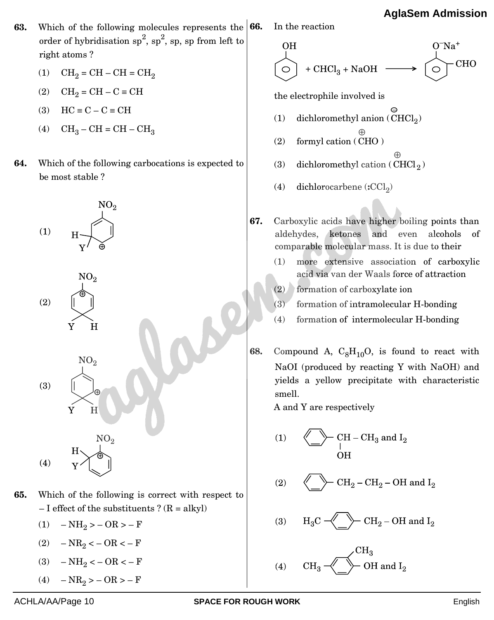- **63.** Which of the following molecules represents the **66.** In the reaction order of hybridisation  $sp^2$ ,  $sp^2$ , sp, sp from left to right atoms ?
	- (1)  $CH_2 = CH CH = CH_2$
	- (2)  $CH_2 = CH C \equiv CH$
	- (3)  $HC \equiv C C \equiv CH$
	- (4)  $CH_3-CH=CH-CH_3$
- **64.** Wh[ich of the following carbocations is expected to](https://aglasem.com/)  be most stable ?



- **65.** Which of the following is correct with respect to – I effect of the substituents ?  $(R = alkyl)$ 
	- (1)  $NH_2 > -OR > -F$
	- (2)  $NR_2 < -$  OR < F
	- (3)  $NH_2 < -OR < -F$
	- (4)  $NR_2 > -$  OR  $> -$  F

\n- **66.** In the reaction 
$$
OH
$$
 O<sup>+</sup> O<sup>+</sup> HCl<sub>3</sub> + NaOH  $\longrightarrow$  O<sup>+</sup> CHCl<sub>2</sub> + CHCl<sub>3</sub> + NaOH  $\longrightarrow$  CHO the electrophile involved is\n
	\n- (1) dichloromethyl anion (CHCl<sub>2</sub>)
	\n- (2) formally action (CHCl<sub>2</sub>)
	\n- (3) dichloromethyl cation (CHCl<sub>2</sub>)
	\n\n
\n- **67.** Carboxylic acids have higher boiling points than aldehydes, ketones and even alcohols of comparable molecular mass. It is due to their\n
	\n- (1) more extensive association of carboxylic acid via van der Waals force of attraction
	\n- (2) formation of carboxylate ion
	\n- (3) formation of intramolecular H-bonding
	\n\n
\n

- (4) formation of intermolecular H-bonding
- **68.** Compound A,  $C_8H_{10}O$ , is found to react with NaOI (produced by reacting Y with NaOH) and yields a yellow precipitate with characteristic smell.

A and Y are respectively

CH –  $\rm CH_{3}$  and  $\rm I_{2}$  $(1)$ **OH** 

 $(3)$  $H_3C$  -

$$
(4) \qquad CH_3 \xleftarrow{CH_3} OH \text{ and } I_2
$$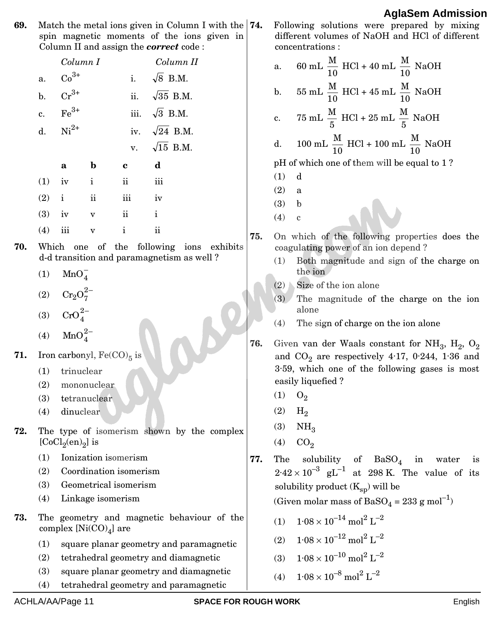**69.** Match the metal ions given in Column I with the spin magnetic moments of the ions given in Column II and assign the *correct* code :

|     |          | Column 11 and assign the <i>correct</i> code :  |                                             |                     |                      |                                           |                                            |  |  |  |  |
|-----|----------|-------------------------------------------------|---------------------------------------------|---------------------|----------------------|-------------------------------------------|--------------------------------------------|--|--|--|--|
|     |          | Column I                                        |                                             |                     |                      | Column II                                 |                                            |  |  |  |  |
|     | a.       | $Co^{3+}$                                       |                                             | i.                  | $\sqrt{8}$ B.M.      |                                           |                                            |  |  |  |  |
|     | b.       | $Cr^{3+}$                                       |                                             |                     | ii. $\sqrt{35}$ B.M. |                                           |                                            |  |  |  |  |
|     | c.       | $Fe3+$                                          |                                             |                     | iii. $\sqrt{3}$ B.M. |                                           |                                            |  |  |  |  |
|     | d.       | $Ni2+$                                          |                                             |                     | iv. $\sqrt{24}$ B.M. |                                           |                                            |  |  |  |  |
|     |          |                                                 |                                             |                     | v. $\sqrt{15}$ B.M.  |                                           |                                            |  |  |  |  |
|     |          | a                                               | $\mathbf b$                                 | $\mathbf c$         | d                    |                                           |                                            |  |  |  |  |
|     | $(1)$ iv |                                                 | i.                                          | ii                  | iii                  |                                           |                                            |  |  |  |  |
|     | $(2)$ i  |                                                 | $\mathbf{ii}$                               | iii                 | iv                   |                                           |                                            |  |  |  |  |
|     | (3)      | iv                                              | $\overline{\mathbf{V}}$                     | $\ddot{\mathbf{i}}$ | i                    |                                           |                                            |  |  |  |  |
|     | (4)      | iii                                             | $\overline{\mathbf{V}}$                     | i                   | $\ddot{\textbf{i}}$  |                                           |                                            |  |  |  |  |
|     |          |                                                 |                                             |                     |                      |                                           |                                            |  |  |  |  |
| 70. |          |                                                 | Which one of the                            |                     |                      | d-d transition and paramagnetism as well? | following ions exhibits                    |  |  |  |  |
|     | (1)      | MnO <sub>4</sub>                                |                                             |                     |                      |                                           |                                            |  |  |  |  |
|     |          | $(2) \hspace{0.1cm} \text{Cr}_2\text{O}_7^{2-}$ |                                             |                     |                      |                                           |                                            |  |  |  |  |
|     |          | (3) $CrO_4^{2-}$                                |                                             |                     |                      |                                           |                                            |  |  |  |  |
|     |          | (4) $MnO_A^{2-}$                                |                                             |                     |                      |                                           |                                            |  |  |  |  |
| 71. |          |                                                 | Iron carbonyl, $\operatorname{Fe(CO)_5}$ is |                     |                      |                                           |                                            |  |  |  |  |
|     | (1)      | trinuclear                                      |                                             |                     |                      |                                           |                                            |  |  |  |  |
|     |          |                                                 | (2) mononuclear                             |                     |                      |                                           |                                            |  |  |  |  |
|     |          | (3) tetranuclear                                |                                             |                     |                      |                                           |                                            |  |  |  |  |
|     | (4)      | dinuclear                                       |                                             |                     |                      |                                           |                                            |  |  |  |  |
| 72. |          | [ $CoCl2(en)2$ ] is                             |                                             |                     |                      |                                           | The type of isomerism shown by the complex |  |  |  |  |
|     | (1)      |                                                 | Ionization isomerism                        |                     |                      |                                           |                                            |  |  |  |  |
|     | (2)      |                                                 | Coordination isomerism                      |                     |                      |                                           |                                            |  |  |  |  |
|     | (3)      |                                                 | Geometrical isomerism                       |                     |                      |                                           |                                            |  |  |  |  |
|     | (4)      |                                                 | Linkage isomerism                           |                     |                      |                                           |                                            |  |  |  |  |

- **73.** The geometry and magnetic behaviour of the  $complex \ [Ni(CO)_4]$  are
	- (1) square planar geometry and paramagnetic
	- (2) tetrahedral geometry and diamagnetic
	- (3) square planar geometry and diamagnetic
	- (4) tetrahedral geometry and paramagnetic

**74.** Following solutions were prepared by mixing different volumes of NaOH and HCl of different concentrations :

| a. 60 mL $\frac{M}{10}$ HCl + 40 mL $\frac{M}{10}$ NaOH |  |
|---------------------------------------------------------|--|
| b. 55 mL $\frac{M}{10}$ HCl + 45 mL $\frac{M}{10}$ NaOH |  |
| c. 75 mL $\frac{M}{5}$ HCl + 25 mL $\frac{M}{5}$ NaOH   |  |
|                                                         |  |

d.  $100 \text{ mL } \frac{44}{10}$  $\frac{\text{M}}{10}$  HCl + 100 mL  $\frac{\text{M}}{10}$  $\frac{\text{M}}{12}$  NaOH

pH of which one of them will be equal to 1 ?

- (1) d
- (2) a (3) b
- 
- $(4)$  c

**75.** On which of the following properties does the coagulating power of an ion depend ?

- (1) Both magnitude and sign of the charge on the ion
- (2) Size of the ion alone
- (3) The magnitude of the charge on the ion alone
- (4) The sign of charge on the ion alone
- **76.** Given van der Waals constant for  $\mathrm{NH}_3$ ,  $\mathrm{H}_2$ ,  $\mathrm{O}_2$ and  $CO_2$  are respectively 4.17, 0.244, 1.36 and 3·59, which one of the following gases is most easily liquefied ?
	- $(1)$   $O_2$
	- $(2)$  H<sub>2</sub>
	- $(3)$  NH<sub>3</sub>
	- $(4)$  CO<sub>2</sub>

77. The solubility of BaSO<sub>4</sub> in water is  $2.42 \times 10^{-3}$  gL<sup>-1</sup> at 298 K. The value of its solubility product  $(K_{sn})$  will be

(Given molar mass of BaSO<sub>4</sub> = 233 g mol<sup>-1</sup>)

- (1)  $1.08 \times 10^{-14}$  mol<sup>2</sup> L<sup>-2</sup>
- (2)  $1.08 \times 10^{-12}$  mol<sup>2</sup> L<sup>-2</sup>
- (3)  $1.08 \times 10^{-10}$  mol<sup>2</sup> L<sup>-2</sup>
- (4)  $1.08 \times 10^{-8}$  mol<sup>2</sup> L<sup>-2</sup>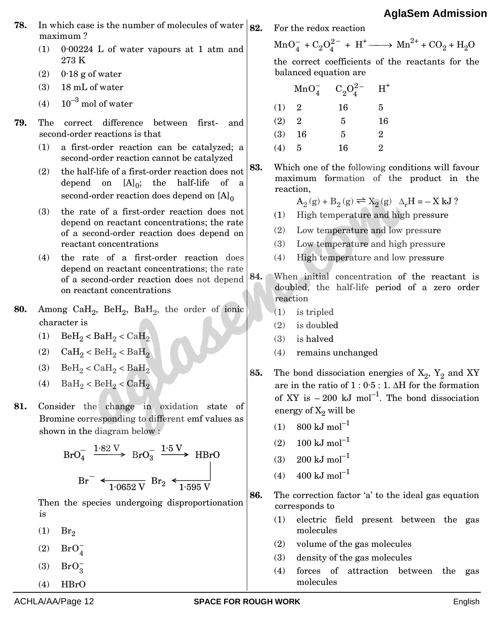- **78.** In which case is the number of molecules of water  $|_{82}$ maximum ?
	- (1) 0·00224 L of water vapours at 1 atm and 273 K
	- (2)  $0.18$  g of water
	- (3) 18 mL of water
	- (4)  $10^{-3}$  mol of water
- **79.** The correct difference between first- and second-order reactions is that
	- (1) a first-order reaction can be catalyzed; a second-order reaction cannot be catalyzed
	- (2) the half-life of a first-order reaction does not depend on  $[A]_0$ ; the half-life of a second-order reaction does depend on  $[A]_0$
	- (3) the rate of a first-order reaction does not depend on reactant concentrations; the rate of a second-order reaction does depend on reactant concentrations
	- (4) the rate of a first-order reaction does depend on reactant concentrations; the rate of a second-order reaction does not depend on reactant concentrations
- **80.** Among CaH<sub>2</sub>, BeH<sub>2</sub>, BaH<sub>2</sub>, the order of ionic character is
	- (1)  $\text{BeH}_2 < \text{BaH}_2 < \text{CaH}_2$
	- (2)  $CaH<sub>2</sub> < BeH<sub>2</sub> < BaH<sub>2</sub>$
	- (3)  $BeH<sub>2</sub> < CaH<sub>2</sub> < BaH<sub>2</sub>$
	- (4)  $BaH<sub>2</sub> < BeH<sub>2</sub> < CaH<sub>2</sub>$
- **81.** Co[nsider the change in oxidation state of](https://aglasem.com/)  Bromine corresponding to different emf values as shown in the diagram below :

$$
BrO4- \xrightarrow{1.82 \text{ V}} BrO3- \xrightarrow{1.5 \text{ V}} HBrO
$$
  

$$
Br- \xleftarrow{+} \xrightarrow{1.0652 \text{ V}} Br2 \xleftarrow{+} \xrightarrow{1.595 \text{ V}}
$$

Then the species undergoing disproportionation is

- $(1)$  Br<sub>2</sub>
- (2)  $BrO<sub>4</sub>^ 0^-_4$
- (3)  $BrO_2^ 0^-_3$
- $(4)$  HBrO

**82.** For the redox reaction

 $MnO_4^-$ 

 $O_4^-$  +  $C_2O_4^{2-}$  $O_4^{2-}$  + H<sup>+</sup> -  $Mn^{2+}$  + CO<sub>2</sub> + H<sub>2</sub>O

the correct coefficients of the reactants for the balanced equation are

|     | $MnO_4^-$      | $C_2O_4^{2-}$ | $H^*$          |
|-----|----------------|---------------|----------------|
| (1) | $\overline{2}$ | 16            | 5              |
| (2) | $\overline{2}$ | 5             | 16             |
| (3) | 16             | 5             | $\overline{2}$ |
| (4) | 5              | 16            | 2              |

**83.** Which one of the following conditions will favour maximum formation of the product in the reaction,

 $A_2(g) + B_2(g) \rightleftharpoons X_2(g)$   $\Delta_r H = - X kJ$ ?

- (1) High temperature and high pressure
- (2) Low temperature and low pressure
- (3) Low temperature and high pressure
- (4) High temperature and low pressure
- **84.** When initial concentration of the reactant is doubled, the half-life period of a zero order reaction
	- (1) is tripled
	- (2) is doubled
	- (3) is halved
	- (4) remains unchanged

**85.** The bond dissociation energies of  $X_2$ ,  $Y_2$  and XY are in the ratio of  $1:0.5:1$ .  $\Delta H$  for the formation of XY is  $-200 \text{ kJ mol}^{-1}$ . The bond dissociation energy of  $X_2$  will be

- $(1)$  800 kJ mol<sup>-1</sup>
- (2)  $100 \text{ kJ mol}^{-1}$
- $(3)$  200 kJ mol<sup>-1</sup>
- $(4)$  400 kJ mol<sup>-1</sup>

**86.** The correction factor 'a' to the ideal gas equation corresponds to

- (1) electric field present between the gas molecules
- (2) volume of the gas molecules
- (3) density of the gas molecules
- (4) forces of attraction between the gas molecules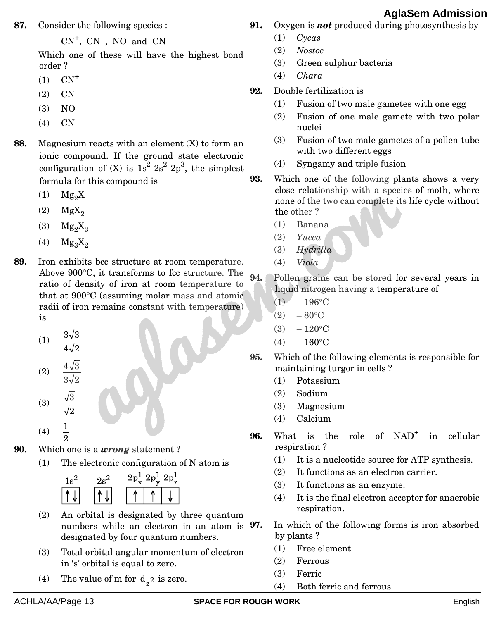**87.** Consider the following species :

CN<sup>+</sup> , CN – , NO and CN

Which one of these will have the highest bond order ?

- $(1)$   $CN^+$
- (2) CN –
- (3) NO
- (4) CN
- **88.** Magnesium reacts with an element (X) to form an ionic compound. If the ground state electronic configuration of  $(X)$  is  $1s^2 2s^2 2p^3$ , the simplest formula for this compound is
	- $(1)$  Mg<sub>2</sub>X
	- $(2)$  MgX<sub>2</sub>
	- $(3)$  Mg<sub>2</sub>X<sub>2</sub>
	- $(4)$  Mg<sub>3</sub>X<sub>2</sub>
- **89.** Iro[n exhibits bcc structure at room temperature.](https://aglasem.com/)  Above  $900^{\circ}$ C, it transforms to fcc structure. The ratio of density of iron at room temperature to that at 900°C (assuming molar mass and atomic radii of iron remains constant with temperature) is
	- (1)  $4\sqrt{2}$  $3\sqrt{3}$
	- (2)  $3\sqrt{2}$  $4\sqrt{3}$
	- (3) 2  $\sqrt{3}$

(4) 1

- 2 **90.** Which one is a *wrong* statement ?
	- (1) The electronic configuration of N atom is



- (2) An orbital is designated by three quantum numbers while an electron in an atom is designated by four quantum numbers.
- (3) Total orbital angular momentum of electron in 's' orbital is equal to zero.
- (4) The value of m for  $d_{z^2}$  is zero.
- **91.** Oxygen is *not* produced during photosynthesis by
	- (1) *Cycas*
	- (2) *Nostoc*
	- (3) Green sulphur bacteria
	- (4) *Chara*
- **92.** Double fertilization is
	- (1) Fusion of two male gametes with one egg
	- (2) Fusion of one male gamete with two polar nuclei
	- (3) Fusion of two male gametes of a pollen tube with two different eggs
	- (4) Syngamy and triple fusion
- **93.** Which one of the following plants shows a very close relationship with a species of moth, where none of the two can complete its life cycle without the other ?
	- (1) Banana
	- (2) *Yucca*
	- (3) *Hydrilla*
	- (4) *Viola*
- **94.** Pollen grains can be stored for several years in liquid nitrogen having a temperature of
	- $(1)$  196 °C
	- $(2) 80^{\circ}$ C
	- $(3) 120$ °C
	- $(4) 160^{\circ}$ C
- **95.** Which of the following elements is responsible for maintaining turgor in cells ?
	- (1) Potassium
	- (2) Sodium
	- (3) Magnesium
	- (4) Calcium
- **96.** What is the role of NAD<sup>+</sup> in cellular respiration ?
	- (1) It is a nucleotide source for ATP synthesis.
	- (2) It functions as an electron carrier.
	- (3) It functions as an enzyme.
	- (4) It is the final electron acceptor for anaerobic respiration.
- **97.** In which of the following forms is iron absorbed by plants ?
	- (1) Free element
	- (2) Ferrous
	- (3) Ferric
	- (4) Both ferric and ferrous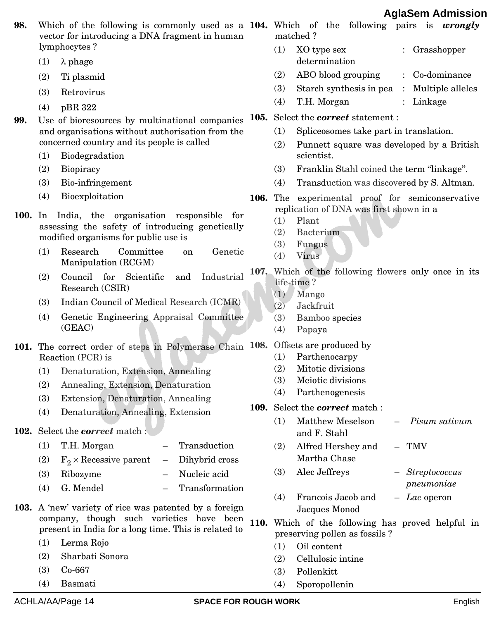| 98.  |     | Which of the following is commonly used as a 104. Which of the following pairs is <i>wrongly</i><br>vector for introducing a DNA fragment in human<br>lymphocytes? |      |            | matched?                                                                                    |
|------|-----|--------------------------------------------------------------------------------------------------------------------------------------------------------------------|------|------------|---------------------------------------------------------------------------------------------|
|      | (1) | $\lambda$ phage                                                                                                                                                    |      | (1)        | XO type sex<br>Grasshopper<br>determination                                                 |
|      | (2) | Ti plasmid                                                                                                                                                         |      | (2)        | ABO blood grouping<br>: Co-dominance                                                        |
|      | (3) | Retrovirus                                                                                                                                                         |      | (3)        | Starch synthesis in pea<br>: Multiple alleles                                               |
|      | (4) | pBR 322                                                                                                                                                            |      | (4)        | T.H. Morgan<br>: Linkage                                                                    |
| 99.  |     | Use of bioresources by multinational companies                                                                                                                     |      |            | 105. Select the <i>correct</i> statement :                                                  |
|      |     | and organisations without authorisation from the                                                                                                                   |      | (1)        | Spliceosomes take part in translation.                                                      |
|      |     | concerned country and its people is called                                                                                                                         |      | (2)        | Punnett square was developed by a British                                                   |
|      | (1) | Biodegradation                                                                                                                                                     |      |            | scientist.                                                                                  |
|      | (2) | Biopiracy                                                                                                                                                          |      | (3)        | Franklin Stahl coined the term "linkage".                                                   |
|      | (3) | Bio-infringement                                                                                                                                                   |      | (4)        | Transduction was discovered by S. Altman.                                                   |
|      | (4) | Bioexploitation                                                                                                                                                    |      |            | 106. The experimental proof for semiconservative<br>replication of DNA was first shown in a |
| 100. | In  | India, the organisation responsible<br>for<br>assessing the safety of introducing genetically<br>modified organisms for public use is                              |      | (1)<br>(2) | Plant<br>Bacterium                                                                          |
|      | (1) | Research<br>Committee<br>Genetic<br>on<br>Manipulation (RCGM)                                                                                                      |      | (3)<br>(4) | Fungus<br>Virus                                                                             |
|      | (2) | Council for<br>Scientific<br>Industrial<br>and<br>Research (CSIR)                                                                                                  |      | (1)        | 107. Which of the following flowers only once in its<br>life-time?<br>Mango                 |
|      | (3) | Indian Council of Medical Research (ICMR)                                                                                                                          |      | (2)        | Jackfruit                                                                                   |
|      | (4) | Genetic Engineering Appraisal Committee<br>(GEAC)                                                                                                                  |      | (3)<br>(4) | Bamboo species<br>Papaya                                                                    |
|      |     | 101. The correct order of steps in Polymerase Chain<br>Reaction (PCR) is                                                                                           | 108. | (1)        | Offsets are produced by<br>Parthenocarpy                                                    |
|      | (1) | Denaturation, Extension, Annealing                                                                                                                                 |      | (2)        | Mitotic divisions                                                                           |
|      | (2) | Annealing, Extension, Denaturation                                                                                                                                 |      | (3)<br>(4) | Meiotic divisions<br>Parthenogenesis                                                        |
|      | (3) | Extension, Denaturation, Annealing                                                                                                                                 |      |            | 109. Select the <i>correct</i> match:                                                       |
|      | (4) | Denaturation, Annealing, Extension                                                                                                                                 |      | (1)        | Matthew Meselson<br>Pisum sativum                                                           |
|      |     | 102. Select the <i>correct</i> match :                                                                                                                             |      |            | and F. Stahl                                                                                |
|      | (1) | Transduction<br>T.H. Morgan                                                                                                                                        |      | (2)        | Alfred Hershey and<br>TMV                                                                   |
|      | (2) | $F_2 \times$ Recessive parent<br>Dihybrid cross<br>$\overline{\phantom{0}}$                                                                                        |      |            | Martha Chase                                                                                |
|      | (3) | Nucleic acid<br>Ribozyme                                                                                                                                           |      | (3)        | Alec Jeffreys<br>$-$ Streptococcus                                                          |
|      | (4) | G. Mendel<br>Transformation                                                                                                                                        |      |            | pneumoniae                                                                                  |
|      |     | 103. A 'new' variety of rice was patented by a foreign                                                                                                             |      | (4)        | Francois Jacob and<br>$-$ <i>Lac</i> operon<br>Jacques Monod                                |
|      |     | company, though such varieties have been<br>present in India for a long time. This is related to                                                                   |      |            | 110. Which of the following has proved helpful in                                           |
|      | (1) | Lerma Rojo                                                                                                                                                         |      | (1)        | preserving pollen as fossils?<br>Oil content                                                |
|      | (2) | Sharbati Sonora                                                                                                                                                    |      | (2)        | Cellulosic intine                                                                           |
|      | (3) | Co-667                                                                                                                                                             |      | (3)        | Pollenkitt                                                                                  |
|      | (4) | Basmati                                                                                                                                                            |      | (4)        | Sporopollenin                                                                               |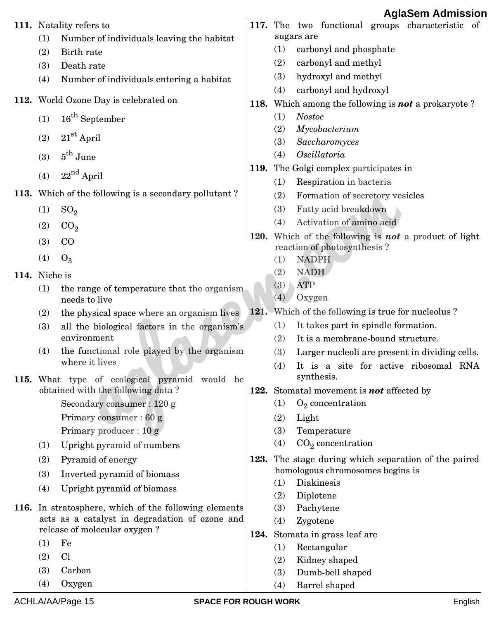|               |            | 111. Natality refers to                                     |      |            | 117. The two functional groups characteristic of        |
|---------------|------------|-------------------------------------------------------------|------|------------|---------------------------------------------------------|
|               | (1)        | Number of individuals leaving the habitat                   |      |            | sugars are                                              |
|               | (2)        | Birth rate                                                  |      | (1)        | carbonyl and phosphate                                  |
|               | (3)        | Death rate                                                  |      | (2)        | carbonyl and methyl                                     |
|               | (4)        | Number of individuals entering a habitat                    |      | (3)        | hydroxyl and methyl                                     |
|               |            |                                                             |      | (4)        | carbonyl and hydroxyl                                   |
|               |            | 112. World Ozone Day is celebrated on                       | 118. |            | Which among the following is <b>not</b> a prokaryote?   |
|               | (1)        | 16 <sup>th</sup> September                                  |      | (1)        | <b>Nostoc</b>                                           |
|               | (2)        | $21st$ April                                                |      | (2)        | Mycobacterium                                           |
|               |            |                                                             |      | (3)<br>(4) | Saccharomyces<br>Oscillatoria                           |
|               | (3)        | $5^{\text{th}}$ June                                        |      |            | 119. The Golgi complex participates in                  |
|               | (4)        | $22^{nd}$ April                                             |      | (1)        | Respiration in bacteria                                 |
|               |            | 113. Which of the following is a secondary pollutant?       |      | (2)        | Formation of secretory vesicles                         |
|               | (1)        | SO <sub>2</sub>                                             |      | (3)        | Fatty acid breakdown                                    |
|               | (2)        | CO <sub>2</sub>                                             |      | (4)        | Activation of amino acid                                |
|               |            |                                                             | 120. |            | Which of the following is <b>not</b> a product of light |
|               | (3)        | $_{\rm CO}$                                                 |      |            | reaction of photosynthesis?                             |
|               | (4)        | $O_3$                                                       |      | (1)        | <b>NADPH</b>                                            |
| 114. Niche is |            |                                                             |      | (2)        | <b>NADH</b>                                             |
|               | (1)        | the range of temperature that the organism<br>needs to live |      | (3)<br>(4) | <b>ATP</b><br>Oxygen                                    |
|               | (2)        | the physical space where an organism lives                  | 121. |            | Which of the following is true for nucleolus?           |
|               | (3)        | all the biological factors in the organism's                |      | (1)        | It takes part in spindle formation.                     |
|               |            | environment                                                 |      | (2)        | It is a membrane-bound structure.                       |
|               | (4)        | the functional role played by the organism                  |      | (3)        | Larger nucleoli are present in dividing cells.          |
|               |            | where it lives                                              |      | (4)        | It is a site for active ribosomal RNA                   |
|               |            | 115. What type of ecological pyramid would be               |      |            | synthesis.                                              |
|               |            | obtained with the following data?                           | 122. |            | Stomatal movement is <b>not</b> affected by             |
|               |            | Secondary consumer: 120 g                                   |      | (1)        | $O_2$ concentration                                     |
|               |            | Primary consumer: 60 g<br>Primary producer : $10 g$         |      | (2)<br>(3) | Light<br>Temperature                                    |
|               |            |                                                             |      | (4)        | $CO2$ concentration                                     |
|               | (1)        | Upright pyramid of numbers                                  | 123. |            | The stage during which separation of the paired         |
|               | (2)<br>(3) | Pyramid of energy                                           |      |            | homologous chromosomes begins is                        |
|               |            | Inverted pyramid of biomass                                 |      | (1)        | Diakinesis                                              |
|               | (4)        | Upright pyramid of biomass                                  |      | (2)        | Diplotene                                               |
| 116.          |            | In stratosphere, which of the following elements            |      | (3)        | Pachytene                                               |
|               |            | acts as a catalyst in degradation of ozone and              |      | (4)        | Zygotene                                                |
|               | (1)        | release of molecular oxygen?<br>Fe                          | 124. |            | Stomata in grass leaf are                               |
|               | (2)        | C1                                                          |      | (1)        | Rectangular                                             |
|               | (3)        | Carbon                                                      |      | (2)        | Kidney shaped                                           |
|               | (4)        | Oxygen                                                      |      | (3)        | Dumb-bell shaped                                        |
|               |            |                                                             |      | (4)        | Barrel shaped                                           |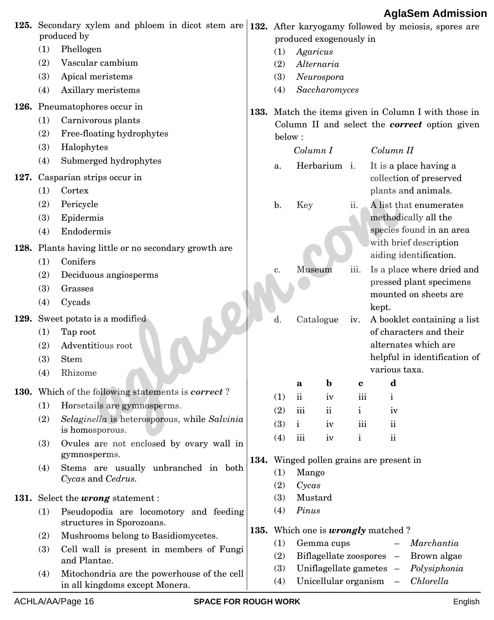|      |     | 125. Secondary xylem and phloem in dicot stem are<br>produced by              | produced exogenously in | 132. After karyogamy followed by meiosis, spores are |                                      |                           |                                                              |
|------|-----|-------------------------------------------------------------------------------|-------------------------|------------------------------------------------------|--------------------------------------|---------------------------|--------------------------------------------------------------|
|      | (1) | Phellogen                                                                     | (1)                     | Agaricus                                             |                                      |                           |                                                              |
|      | (2) | Vascular cambium                                                              | (2)                     |                                                      | Alternaria                           |                           |                                                              |
|      | (3) | Apical meristems                                                              | (3)                     |                                                      | Neurospora                           |                           |                                                              |
|      | (4) | Axillary meristems                                                            | (4)                     |                                                      | Saccharomyces                        |                           |                                                              |
|      |     | 126. Pneumatophores occur in                                                  |                         |                                                      |                                      |                           | 133. Match the items given in Column I with those in         |
|      | (1) | Carnivorous plants                                                            |                         |                                                      |                                      |                           | Column II and select the <i>correct</i> option given         |
|      | (2) | Free-floating hydrophytes                                                     | below:                  |                                                      |                                      |                           |                                                              |
|      | (3) | Halophytes                                                                    |                         | Column I                                             |                                      |                           | Column II                                                    |
|      | (4) | Submerged hydrophytes                                                         | a.                      |                                                      | Herbarium i.                         |                           | It is a place having a                                       |
| 127. |     | Casparian strips occur in                                                     |                         |                                                      |                                      |                           | collection of preserved                                      |
|      | (1) | Cortex                                                                        |                         |                                                      |                                      |                           | plants and animals.                                          |
|      | (2) | Pericycle                                                                     | b.                      | Key                                                  |                                      | $\overline{\mathbf{u}}$ . | A list that enumerates                                       |
|      | (3) | Epidermis                                                                     |                         |                                                      |                                      |                           | methodically all the                                         |
|      | (4) | Endodermis                                                                    |                         |                                                      |                                      |                           | species found in an area                                     |
|      |     | 128. Plants having little or no secondary growth are                          |                         |                                                      |                                      |                           | with brief description                                       |
|      | (1) | Conifers                                                                      |                         |                                                      |                                      |                           | aiding identification.                                       |
|      | (2) | Deciduous angiosperms                                                         | c.                      | Museum                                               |                                      | iii.                      | Is a place where dried and                                   |
|      | (3) | Grasses                                                                       |                         |                                                      |                                      |                           | pressed plant specimens<br>mounted on sheets are             |
|      | (4) | Cycads                                                                        |                         |                                                      |                                      |                           | kept.                                                        |
| 129. |     | Sweet potato is a modified                                                    | d.                      |                                                      | Catalogue                            | iv.                       | A booklet containing a list                                  |
|      | (1) | Tap root                                                                      |                         |                                                      |                                      |                           | of characters and their                                      |
|      | (2) | Adventitious root                                                             |                         |                                                      |                                      |                           | alternates which are                                         |
|      | (3) | <b>Stem</b>                                                                   |                         |                                                      |                                      |                           | helpful in identification of                                 |
|      | (4) | Rhizome                                                                       |                         |                                                      |                                      |                           | various taxa.                                                |
|      |     | 130. Which of the following statements is correct?                            | (1)                     | a<br>$\rm ii$                                        | $\mathbf b$                          | c<br>iii                  | d                                                            |
|      | (1) | Horsetails are gymnosperms.                                                   | (2)                     | iii                                                  | iv<br>$\mathbf{ii}$                  | i                         | $\mathbf{i}$<br>iv                                           |
|      | (2) | Selaginella is heterosporous, while Salvinia                                  | (3)                     | $\mathbf{i}$                                         | iv                                   | iii                       | $\overline{\mathbf{u}}$                                      |
|      |     | is homosporous.                                                               | (4)                     | iii                                                  | iv                                   | $\mathbf{i}$              | $\mathbf{ii}$                                                |
|      | (3) | Ovules are not enclosed by ovary wall in                                      |                         |                                                      |                                      |                           |                                                              |
|      |     | gymnosperms.                                                                  |                         |                                                      |                                      |                           | 134. Winged pollen grains are present in                     |
|      | (4) | Stems are usually unbranched in both<br>Cycas and Cedrus.                     | (1)                     | Mango                                                |                                      |                           |                                                              |
|      |     |                                                                               | (2)                     | Cycas                                                |                                      |                           |                                                              |
|      |     | 131. Select the <i>wrong</i> statement:                                       | (3)                     | Mustard                                              |                                      |                           |                                                              |
|      | (1) | Pseudopodia are locomotory and feeding<br>structures in Sporozoans.           | (4)                     | Pinus                                                |                                      |                           |                                                              |
|      | (2) | Mushrooms belong to Basidiomycetes.                                           |                         |                                                      |                                      |                           | 135. Which one is <i>wrongly</i> matched?                    |
|      | (3) | Cell wall is present in members of Fungi                                      | (1)<br>(2)              |                                                      | Gemma cups<br>Biflagellate zoospores |                           | Marchantia<br>Brown algae<br>$\hspace{0.1mm}-\hspace{0.1mm}$ |
|      |     | and Plantae.                                                                  | (3)                     |                                                      |                                      |                           | Uniflagellate gametes -<br>Polysiphonia                      |
|      | (4) | Mitochondria are the powerhouse of the cell<br>in all kingdoms except Monera. | (4)                     |                                                      |                                      |                           | Unicellular organism -<br>Chlorella                          |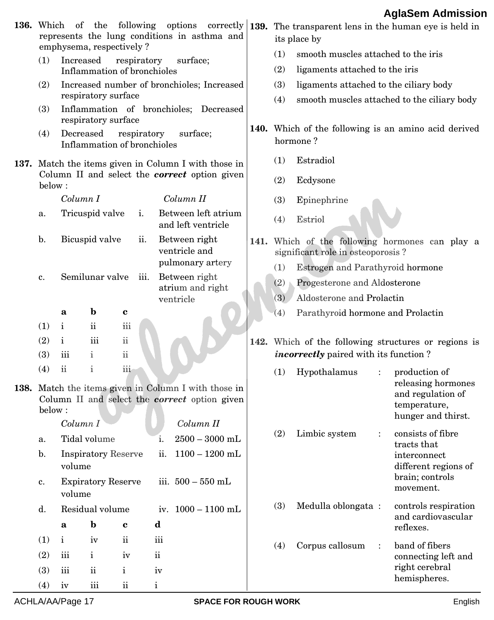| <b>136.</b> Which    |                                                                                      |                                            | emphysema, respectively?                   |           | represents the lung conditions in asthma and                                                          |                  |                                               | its place by                                                          |                              | of the following options correctly $ 139$ . The transparent lens in the human eye is held in |  |  |  |  |  |
|----------------------|--------------------------------------------------------------------------------------|--------------------------------------------|--------------------------------------------|-----------|-------------------------------------------------------------------------------------------------------|------------------|-----------------------------------------------|-----------------------------------------------------------------------|------------------------------|----------------------------------------------------------------------------------------------|--|--|--|--|--|
| (1)                  | Increased                                                                            |                                            | respiratory<br>Inflammation of bronchioles |           | surface;                                                                                              |                  | (1)<br>(2)                                    | smooth muscles attached to the iris<br>ligaments attached to the iris |                              |                                                                                              |  |  |  |  |  |
| (2)                  |                                                                                      |                                            |                                            |           | Increased number of bronchioles; Increased                                                            |                  | (3)<br>ligaments attached to the ciliary body |                                                                       |                              |                                                                                              |  |  |  |  |  |
|                      |                                                                                      | respiratory surface                        |                                            |           |                                                                                                       |                  | (4)                                           |                                                                       |                              | smooth muscles attached to the ciliary body                                                  |  |  |  |  |  |
| (3)                  |                                                                                      | respiratory surface                        |                                            |           | Inflammation of bronchioles; Decreased                                                                |                  |                                               |                                                                       |                              |                                                                                              |  |  |  |  |  |
| (4)                  | Decreased                                                                            |                                            | respiratory<br>Inflammation of bronchioles |           | surface;                                                                                              |                  |                                               | hormone?                                                              |                              | 140. Which of the following is an amino acid derived                                         |  |  |  |  |  |
|                      |                                                                                      |                                            |                                            |           | 137. Match the items given in Column I with those in                                                  | (1)<br>Estradiol |                                               |                                                                       |                              |                                                                                              |  |  |  |  |  |
| below:               |                                                                                      |                                            |                                            |           | Column II and select the <b>correct</b> option given                                                  |                  | (2)<br>Ecdysone                               |                                                                       |                              |                                                                                              |  |  |  |  |  |
|                      | Column I                                                                             |                                            |                                            |           | Column II                                                                                             |                  | (3)                                           | Epinephrine                                                           |                              |                                                                                              |  |  |  |  |  |
| a.                   | Tricuspid valve<br>Between left atrium<br>i.<br>Estriol<br>(4)<br>and left ventricle |                                            |                                            |           |                                                                                                       |                  |                                               |                                                                       |                              |                                                                                              |  |  |  |  |  |
| b.                   | Bicuspid valve<br>ii.                                                                |                                            |                                            |           | Between right<br>ventricle and                                                                        |                  | significant role in osteoporosis?             | 141. Which of the following hormones can play a                       |                              |                                                                                              |  |  |  |  |  |
|                      |                                                                                      | Semilunar valve                            |                                            |           | pulmonary artery<br>Between right                                                                     |                  | (1)                                           | Estrogen and Parathyroid hormone                                      |                              |                                                                                              |  |  |  |  |  |
| c.                   |                                                                                      |                                            | iii.                                       |           | atrium and right                                                                                      |                  | (2)                                           | Progesterone and Aldosterone                                          |                              |                                                                                              |  |  |  |  |  |
|                      |                                                                                      |                                            |                                            |           | ventricle                                                                                             |                  | (3)                                           | Aldosterone and Prolactin                                             |                              |                                                                                              |  |  |  |  |  |
| (1)                  | a<br>$\mathbf{i}$                                                                    | $\mathbf b$<br>$\mathbf{ii}$               | $\mathbf c$<br>iii                         |           |                                                                                                       |                  | (4)                                           | Parathyroid hormone and Prolactin                                     |                              |                                                                                              |  |  |  |  |  |
| (2)                  | $\mathbf i$                                                                          | iii                                        | $\rm ii$                                   |           |                                                                                                       |                  |                                               |                                                                       |                              | 142. Which of the following structures or regions is                                         |  |  |  |  |  |
| (3)                  | iii                                                                                  | $\mathbf{i}$                               | $\ddot{\rm ii}$                            |           |                                                                                                       |                  |                                               | <i>incorrectly</i> paired with its function?                          |                              |                                                                                              |  |  |  |  |  |
| (4)                  | $\mathbf{ii}$                                                                        | $\mathbf{i}$                               | iii                                        |           | 138. Match the items given in Column I with those in<br>Column II and select the correct option given |                  | (1)                                           | Hypothalamus                                                          | $\ddot{\cdot}$               | production of<br>releasing hormones<br>and regulation of                                     |  |  |  |  |  |
| below:               |                                                                                      |                                            |                                            |           |                                                                                                       |                  |                                               |                                                                       |                              | temperature,<br>hunger and thirst.                                                           |  |  |  |  |  |
|                      | Column I                                                                             |                                            |                                            |           | Column II                                                                                             |                  | (2)                                           | Limbic system                                                         | $\ddot{\cdot}$               | consists of fibre                                                                            |  |  |  |  |  |
| a.<br>$\mathbf{b}$ . | volume                                                                               | Tidal volume<br><b>Inspiratory Reserve</b> |                                            | 1.<br>ii. | $2500 - 3000$ mL<br>$1100 - 1200$ mL                                                                  |                  |                                               |                                                                       |                              | tracts that<br>interconnect<br>different regions of                                          |  |  |  |  |  |
| c.                   | volume                                                                               | <b>Expiratory Reserve</b>                  |                                            |           | iii. $500 - 550$ mL                                                                                   |                  |                                               |                                                                       | brain; controls<br>movement. |                                                                                              |  |  |  |  |  |
| d.                   |                                                                                      | Residual volume                            |                                            |           | iv. $1000 - 1100$ mL                                                                                  |                  | (3)                                           | Medulla oblongata:                                                    |                              | controls respiration                                                                         |  |  |  |  |  |
|                      | a                                                                                    | $\mathbf b$                                | c                                          | d         |                                                                                                       |                  |                                               |                                                                       |                              | and cardiovascular<br>reflexes.                                                              |  |  |  |  |  |
| (1)                  | $\mathbf{i}$                                                                         | iv                                         | $\rm ii$                                   | iii       |                                                                                                       |                  | (4)                                           | Corpus callosum                                                       | $\ddot{\cdot}$               | band of fibers                                                                               |  |  |  |  |  |
| (2)                  | iii                                                                                  | $\mathbf{i}$                               | iv                                         | $\rm ii$  |                                                                                                       |                  |                                               | connecting left and                                                   |                              |                                                                                              |  |  |  |  |  |
| (3)                  | iii                                                                                  | $\mathbf{ii}$                              | $\mathbf{i}$                               | iv        |                                                                                                       |                  |                                               |                                                                       |                              | right cerebral<br>hemispheres.                                                               |  |  |  |  |  |
|                      |                                                                                      |                                            |                                            |           |                                                                                                       |                  |                                               |                                                                       |                              |                                                                                              |  |  |  |  |  |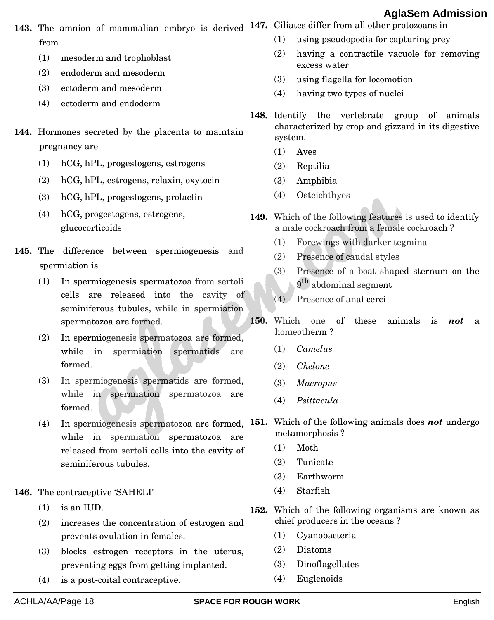|                 |      | 143. The amnion of mammalian embryo is derived                                  |             |                                                                                                       | 147. Ciliates differ from all other protozoans in                                                      |  |  |  |  |
|-----------------|------|---------------------------------------------------------------------------------|-------------|-------------------------------------------------------------------------------------------------------|--------------------------------------------------------------------------------------------------------|--|--|--|--|
|                 | from |                                                                                 |             | (1)                                                                                                   | using pseudopodia for capturing prey                                                                   |  |  |  |  |
|                 | (1)  | mesoderm and trophoblast                                                        |             | (2)                                                                                                   | having a contractile vacuole for removing<br>excess water                                              |  |  |  |  |
|                 | (2)  | endoderm and mesoderm                                                           |             | (3)                                                                                                   | using flagella for locomotion                                                                          |  |  |  |  |
|                 | (3)  | ectoderm and mesoderm                                                           |             | (4)                                                                                                   | having two types of nuclei                                                                             |  |  |  |  |
|                 | (4)  | ectoderm and endoderm                                                           |             |                                                                                                       |                                                                                                        |  |  |  |  |
|                 |      | 144. Hormones secreted by the placenta to maintain                              |             | system.                                                                                               | 148. Identify the vertebrate group<br>of animals<br>characterized by crop and gizzard in its digestive |  |  |  |  |
|                 |      | pregnancy are                                                                   |             | (1)                                                                                                   | Aves                                                                                                   |  |  |  |  |
|                 | (1)  | hCG, hPL, progestogens, estrogens                                               |             | (2)                                                                                                   | Reptilia                                                                                               |  |  |  |  |
|                 | (2)  | hCG, hPL, estrogens, relaxin, oxytocin                                          |             | (3)                                                                                                   | Amphibia                                                                                               |  |  |  |  |
|                 | (3)  | hCG, hPL, progestogens, prolactin                                               |             | (4)                                                                                                   | Osteichthyes                                                                                           |  |  |  |  |
|                 | (4)  | hCG, progestogens, estrogens,<br>glucocorticoids                                |             | 149. Which of the following features is used to identify<br>a male cockroach from a female cockroach? |                                                                                                        |  |  |  |  |
| <b>145.</b> The |      | difference between spermiogenesis<br>and                                        |             | (1)                                                                                                   | Forewings with darker tegmina                                                                          |  |  |  |  |
|                 |      | spermiation is                                                                  |             | (2)                                                                                                   | Presence of caudal styles                                                                              |  |  |  |  |
|                 | (1)  | In spermiogenesis spermatozoa from sertoli                                      |             | (3)                                                                                                   | Presence of a boat shaped sternum on the                                                               |  |  |  |  |
|                 |      | cells are released into the cavity of                                           |             |                                                                                                       | 9 <sup>th</sup> abdominal segment                                                                      |  |  |  |  |
|                 |      | seminiferous tubules, while in spermiation                                      |             | (4)                                                                                                   | Presence of anal cerci                                                                                 |  |  |  |  |
|                 |      | spermatozoa are formed.                                                         | <b>150.</b> | Which                                                                                                 | of<br>these<br>animals<br>$\mathbf{u}$<br>one<br>not<br>a<br>homeotherm?                               |  |  |  |  |
|                 | (2)  | In spermiogenesis spermatozoa are formed,<br>while in spermiation<br>spermatids |             | (1)                                                                                                   | Camelus                                                                                                |  |  |  |  |
|                 |      | are<br>formed.                                                                  |             | (2)                                                                                                   | Chelone                                                                                                |  |  |  |  |
|                 | (3)  | In spermiogenesis spermatids are formed,                                        |             | (3)                                                                                                   | <b>Macropus</b>                                                                                        |  |  |  |  |
|                 |      | while in spermiation spermatozoa<br>are                                         |             | (4)                                                                                                   | Psittacula                                                                                             |  |  |  |  |
|                 |      | formed.                                                                         |             |                                                                                                       |                                                                                                        |  |  |  |  |
|                 | (4)  | In spermiogenesis spermatozoa are formed,                                       |             |                                                                                                       | 151. Which of the following animals does not undergo                                                   |  |  |  |  |
|                 |      | while in spermiation spermatozoa are                                            |             | (1)                                                                                                   | metamorphosis?<br>Moth                                                                                 |  |  |  |  |
|                 |      | released from sertoli cells into the cavity of<br>seminiferous tubules.         |             | (2)                                                                                                   | Tunicate                                                                                               |  |  |  |  |
|                 |      |                                                                                 |             | (3)                                                                                                   | Earthworm                                                                                              |  |  |  |  |
|                 |      | 146. The contraceptive 'SAHELI'                                                 |             | (4)                                                                                                   | Starfish                                                                                               |  |  |  |  |
|                 | (1)  | is an IUD.                                                                      |             |                                                                                                       | 152. Which of the following organisms are known as                                                     |  |  |  |  |
|                 | (2)  | increases the concentration of estrogen and                                     |             |                                                                                                       | chief producers in the oceans?                                                                         |  |  |  |  |
|                 |      | prevents ovulation in females.                                                  |             | (1)                                                                                                   | Cyanobacteria                                                                                          |  |  |  |  |
|                 | (3)  | blocks estrogen receptors in the uterus,                                        |             | (2)                                                                                                   | Diatoms                                                                                                |  |  |  |  |
|                 |      | preventing eggs from getting implanted.                                         |             | (3)                                                                                                   | Dinoflagellates                                                                                        |  |  |  |  |
|                 | (4)  | is a post-coital contraceptive.                                                 |             | (4)                                                                                                   | Euglenoids                                                                                             |  |  |  |  |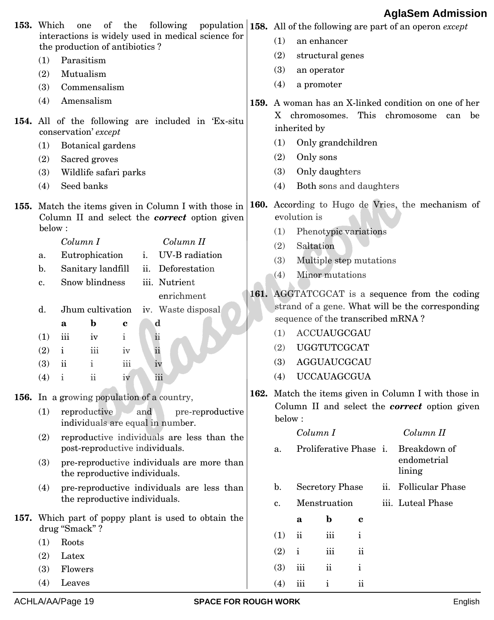| <b>153.</b> Which | (1)<br>(2)<br>(3)<br>(4)<br>(1)<br>(2)<br>(3)<br>(4)                   | following<br>of<br>the<br>one<br>interactions is widely used in medical science for<br>the production of antibiotics?<br>Parasitism<br>Mutualism<br>Commensalism<br>Amensalism<br>154. All of the following are included in 'Ex-situ<br>conservation' except<br>Botanical gardens<br>Sacred groves<br>Wildlife safari parks<br>Seed banks                                                                                                                                                                                                                                                         | (1)<br>(2)<br>(3)<br>(4)<br>X.<br>(1)<br>(2)<br>(3)<br>(4) | inherited by<br>Only sons                   | an enhancer<br>structural genes<br>an operator<br>a promoter<br>chromosomes.<br>Only grandchildren<br>Only daughters<br>Both sons and daughters                                           |                                                                      |     | population   158. All of the following are part of an operon except<br><b>159.</b> A woman has an X-linked condition on one of her<br>This chromosome<br>be<br>can                                          |
|-------------------|------------------------------------------------------------------------|---------------------------------------------------------------------------------------------------------------------------------------------------------------------------------------------------------------------------------------------------------------------------------------------------------------------------------------------------------------------------------------------------------------------------------------------------------------------------------------------------------------------------------------------------------------------------------------------------|------------------------------------------------------------|---------------------------------------------|-------------------------------------------------------------------------------------------------------------------------------------------------------------------------------------------|----------------------------------------------------------------------|-----|-------------------------------------------------------------------------------------------------------------------------------------------------------------------------------------------------------------|
|                   | below:<br>a.<br>$\mathbf{b}$ .<br>c.<br>d.<br>(1)<br>(2)<br>(3)<br>(4) | 155. Match the items given in Column I with those in 160. According to Hugo de Vries, the mechanism of<br>Column II and select the <i>correct</i> option given<br>Column I<br>Column II<br>Eutrophication<br>UV-B radiation<br>i.<br>Sanitary landfill<br>ii. Deforestation<br>Snow blindness<br>iii. Nutrient<br>enrichment<br>Jhum cultivation<br>iv. Waste disposal<br>b<br>d<br>$\mathbf{a}$<br>c<br>iii<br>$\mathbf{i}$<br>$\overline{\mathbf{u}}$<br>iv<br>$\ddot{\text{ii}}$<br>iii<br>$\mathbf{i}$<br>iv<br>iii<br>ii<br>$\mathbf{i}$<br>iv<br>$\mathbf{ii}$<br>iii<br>$\mathbf{i}$<br>iv | (1)<br>(2)<br>(3)<br>(4)<br>(1)<br>(2)<br>(3)<br>(4)       | evolution is<br>Saltation                   | Phenotypic variations<br>Multiple step mutations<br>Minor mutations<br>sequence of the transcribed mRNA?<br><b>ACCUAUGCGAU</b><br><b>UGGTUTCGCAT</b><br>AGGUAUCGCAU<br><b>UCCAUAGCGUA</b> |                                                                      |     | 161. AGGTATCGCAT is a sequence from the coding<br>strand of a gene. What will be the corresponding                                                                                                          |
|                   | (1)<br>(2)<br>(3)<br>(4)                                               | 156. In a growing population of a country,<br>reproductive<br>and<br>pre-reproductive<br>individuals are equal in number.<br>reproductive individuals are less than the<br>post-reproductive individuals.<br>pre-reproductive individuals are more than<br>the reproductive individuals.<br>pre-reproductive individuals are less than<br>the reproductive individuals.<br>157. Which part of poppy plant is used to obtain the                                                                                                                                                                   | below:<br>a.<br>$\mathbf{b}$ .<br>c.                       | Column I<br>a                               | Proliferative Phase i.<br><b>Secretory Phase</b><br>Menstruation<br>$\mathbf b$                                                                                                           | $\mathbf c$                                                          | ii. | 162. Match the items given in Column I with those in<br>Column II and select the correct option given<br>Column II<br>Breakdown of<br>endometrial<br>lining<br><b>Follicular Phase</b><br>iii. Luteal Phase |
|                   | (1)<br>(2)<br>(3)<br>(4)                                               | drug "Smack"?<br>Roots<br>Latex<br>Flowers<br>Leaves                                                                                                                                                                                                                                                                                                                                                                                                                                                                                                                                              | (1)<br>(2)<br>(3)<br>(4)                                   | $\mathbf{ii}$<br>$\mathbf{i}$<br>iii<br>iii | iii<br>iii<br>$\rm ii$<br>$\mathbf{i}$                                                                                                                                                    | $\mathbf{i}$<br>$\overline{\textbf{ii}}$<br>$\mathbf{i}$<br>$\rm ii$ |     |                                                                                                                                                                                                             |
|                   |                                                                        | ACHLA/AA/Page 19<br><b>SPACE FOR ROUGH WORK</b>                                                                                                                                                                                                                                                                                                                                                                                                                                                                                                                                                   |                                                            |                                             |                                                                                                                                                                                           |                                                                      |     | English                                                                                                                                                                                                     |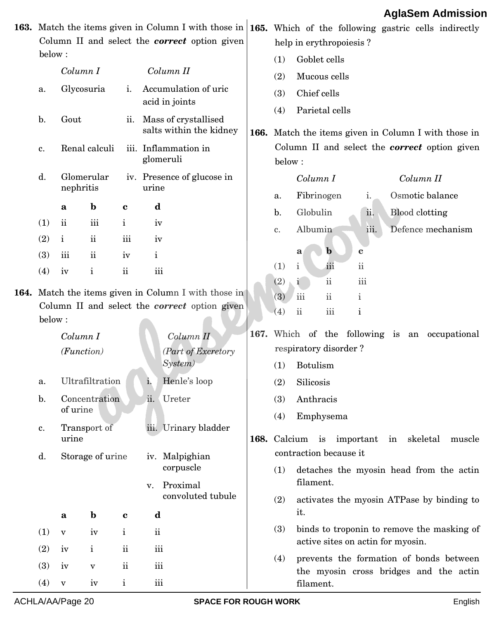|                |              |                  |                     |                         | Column II and select the <b>correct</b> option given                                                         |      |                       | 163. Match the items given in Column I with those in 165. Which of the following gastric cells indirectly<br>help in erythropoiesis? |  |  |  |  |  |  |  |  |  |
|----------------|--------------|------------------|---------------------|-------------------------|--------------------------------------------------------------------------------------------------------------|------|-----------------------|--------------------------------------------------------------------------------------------------------------------------------------|--|--|--|--|--|--|--|--|--|
| below:         |              |                  |                     |                         |                                                                                                              |      | Goblet cells<br>(1)   |                                                                                                                                      |  |  |  |  |  |  |  |  |  |
|                | Column I     |                  |                     |                         | Column II                                                                                                    |      | (2)                   | Mucous cells                                                                                                                         |  |  |  |  |  |  |  |  |  |
| a.             | Glycosuria   |                  | i.                  |                         | Accumulation of uric<br>acid in joints                                                                       |      | (3)<br>(4)            | Chief cells                                                                                                                          |  |  |  |  |  |  |  |  |  |
| b.             | Gout         |                  | ii.                 |                         | Mass of crystallised<br>salts within the kidney                                                              |      |                       | Parietal cells<br>166. Match the items given in Column I with those in                                                               |  |  |  |  |  |  |  |  |  |
| c.             |              | Renal calculi    |                     |                         | iii. Inflammation in<br>glomeruli                                                                            |      | below:                | Column II and select the <i>correct</i> option given                                                                                 |  |  |  |  |  |  |  |  |  |
| d.             | nephritis    | Glomerular       |                     | urine                   | iv. Presence of glucose in                                                                                   |      |                       | Column I<br>Column II                                                                                                                |  |  |  |  |  |  |  |  |  |
|                | a            | $\mathbf b$      | $\bf c$             | d                       |                                                                                                              |      | a.                    | Osmotic balance<br>Fibrinogen<br>i.                                                                                                  |  |  |  |  |  |  |  |  |  |
| (1)            | $\rm ii$     | iii              | $\mathbf i$         | iv                      |                                                                                                              |      | $b$ .                 | Globulin<br><b>Blood</b> clotting<br>ii.                                                                                             |  |  |  |  |  |  |  |  |  |
| (2)            | $\mathbf{i}$ | $\rm ii$         | iii                 | iv                      |                                                                                                              |      | c.                    | Albumin<br>iii.<br>Defence mechanism                                                                                                 |  |  |  |  |  |  |  |  |  |
| (3)            | iii          | $\rm ii$         | iv                  | $\mathbf{i}$            |                                                                                                              |      |                       | $\mathbf b$<br>a<br>c                                                                                                                |  |  |  |  |  |  |  |  |  |
| (4)            | iv           | $\mathbf{i}$     | $\mathbf{ii}$       | iii                     |                                                                                                              |      | (1)                   | iii<br>$\rm ii$<br>$\mathbf{i}$                                                                                                      |  |  |  |  |  |  |  |  |  |
|                |              |                  |                     |                         |                                                                                                              |      | (2)                   | iii<br>$\ddot{\rm ii}$<br>ĭ.                                                                                                         |  |  |  |  |  |  |  |  |  |
| below:         |              |                  |                     |                         | 164. Match the items given in Column I with those in<br>Column II and select the <i>correct</i> option given |      | (3)<br>(4)            | $\overline{\text{iii}}$<br>$\rm ii$<br>$\mathbf{i}$<br>$\overline{\textbf{ii}}$<br>iii<br>$\mathbf{i}$                               |  |  |  |  |  |  |  |  |  |
|                | Column I     |                  |                     |                         | Column II                                                                                                    | 167. |                       | Which of the following is an occupational                                                                                            |  |  |  |  |  |  |  |  |  |
|                | (Function)   |                  |                     |                         | (Part of Excretory                                                                                           |      | respiratory disorder? |                                                                                                                                      |  |  |  |  |  |  |  |  |  |
|                |              |                  |                     |                         | System)                                                                                                      |      | (1)                   | Botulism                                                                                                                             |  |  |  |  |  |  |  |  |  |
| a.             |              | Ultrafiltration  |                     | $\mathbf{1}$ .          | Henle's loop                                                                                                 |      | (2)                   | Silicosis                                                                                                                            |  |  |  |  |  |  |  |  |  |
| $\mathbf{b}$ . |              | Concentration    |                     | ii.                     | Ureter                                                                                                       |      | (3)                   | Anthracis                                                                                                                            |  |  |  |  |  |  |  |  |  |
|                | of urine     |                  |                     |                         |                                                                                                              |      | (4)                   | Emphysema                                                                                                                            |  |  |  |  |  |  |  |  |  |
| c.             | urine        | Transport of     |                     |                         | iii. Urinary bladder                                                                                         |      |                       | 168. Calcium is important in<br>skeletal<br>muscle                                                                                   |  |  |  |  |  |  |  |  |  |
| d.             |              | Storage of urine |                     |                         | iv. Malpighian                                                                                               |      |                       | contraction because it                                                                                                               |  |  |  |  |  |  |  |  |  |
|                |              |                  |                     |                         | corpuscle                                                                                                    |      | (1)                   | detaches the myosin head from the actin                                                                                              |  |  |  |  |  |  |  |  |  |
|                |              |                  |                     | v.                      | Proximal                                                                                                     |      |                       | filament.                                                                                                                            |  |  |  |  |  |  |  |  |  |
|                | a            | $\mathbf b$      | $\mathbf c$         | d                       | convoluted tubule                                                                                            |      | (2)                   | activates the myosin ATPase by binding to<br>it.                                                                                     |  |  |  |  |  |  |  |  |  |
| (1)            | $\mathbf{V}$ | iv               | $\mathbf{i}$        | $\rm ii$                |                                                                                                              |      | (3)                   | binds to troponin to remove the masking of                                                                                           |  |  |  |  |  |  |  |  |  |
| (2)            | iv           | $\mathbf{i}$     | $\ddot{\mathbf{u}}$ | $\overline{\text{iii}}$ |                                                                                                              |      |                       | active sites on actin for myosin.                                                                                                    |  |  |  |  |  |  |  |  |  |
| (3)            | iv           | $\mathbf{V}$     | $\ddot{\mathbf{i}}$ | $\overline{\text{iii}}$ |                                                                                                              |      | (4)                   | prevents the formation of bonds between<br>the myosin cross bridges and the actin                                                    |  |  |  |  |  |  |  |  |  |
| (4)            | $\mathbf{V}$ | iv               | $\mathbf{i}$        | $\rm iii$               |                                                                                                              |      |                       | filament.                                                                                                                            |  |  |  |  |  |  |  |  |  |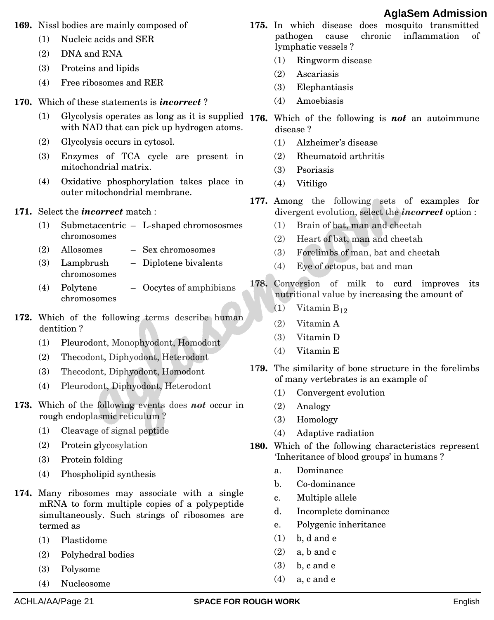|      |     |                                                                                             |                |                                           |                                   |         |  | <b>AglaSem Admission</b>                                                                                   |     |
|------|-----|---------------------------------------------------------------------------------------------|----------------|-------------------------------------------|-----------------------------------|---------|--|------------------------------------------------------------------------------------------------------------|-----|
|      |     | 169. Nissl bodies are mainly composed of                                                    |                |                                           |                                   |         |  | 175. In which disease does mosquito transmitted                                                            |     |
|      | (1) | Nucleic acids and SER                                                                       |                | pathogen<br>lymphatic vessels ?           | cause                             | chronic |  | inflammation                                                                                               | οf΄ |
|      | (2) | DNA and RNA                                                                                 | (1)            |                                           | Ringworm disease                  |         |  |                                                                                                            |     |
|      | (3) | Proteins and lipids                                                                         | (2)            | Ascariasis                                |                                   |         |  |                                                                                                            |     |
|      | (4) | Free ribosomes and RER                                                                      | (3)            |                                           | Elephantiasis                     |         |  |                                                                                                            |     |
|      |     | 170. Which of these statements is <i>incorrect</i> ?                                        | (4)            |                                           | Amoebiasis                        |         |  |                                                                                                            |     |
|      | (1) | Glycolysis operates as long as it is supplied<br>with NAD that can pick up hydrogen atoms.  |                | disease?                                  |                                   |         |  | 176. Which of the following is <b>not</b> an autoimmune                                                    |     |
|      | (2) | Glycolysis occurs in cytosol.                                                               | (1)            |                                           | Alzheimer's disease               |         |  |                                                                                                            |     |
|      | (3) | Enzymes of TCA cycle are present in                                                         | (2)            |                                           | Rheumatoid arthritis              |         |  |                                                                                                            |     |
|      |     | mitochondrial matrix.                                                                       | (3)            | Psoriasis                                 |                                   |         |  |                                                                                                            |     |
|      | (4) | Oxidative phosphorylation takes place in<br>outer mitochondrial membrane.                   | (4)            | Vitiligo                                  |                                   |         |  |                                                                                                            |     |
|      |     | 171. Select the <i>incorrect</i> match:                                                     |                |                                           |                                   |         |  | 177. Among the following sets of examples for<br>divergent evolution, select the <i>incorrect</i> option : |     |
|      | (1) | Submetacentric - L-shaped chromososmes                                                      | (1)            |                                           | Brain of bat, man and cheetah     |         |  |                                                                                                            |     |
|      |     | chromosomes                                                                                 | (2)            |                                           | Heart of bat, man and cheetah     |         |  |                                                                                                            |     |
|      | (2) | Allosomes<br>- Sex chromosomes                                                              | (3)            |                                           | Forelimbs of man, bat and cheetah |         |  |                                                                                                            |     |
|      | (3) | Lampbrush<br>- Diplotene bivalents<br>chromosomes                                           | (4)            |                                           | Eye of octopus, bat and man       |         |  |                                                                                                            |     |
|      | (4) | Polytene<br>Oocytes of amphibians<br>chromosomes                                            |                |                                           |                                   |         |  | 178. Conversion of milk to curd improves its<br>nutritional value by increasing the amount of              |     |
|      |     |                                                                                             | (1)            |                                           | Vitamin $B_{12}$                  |         |  |                                                                                                            |     |
|      |     | 172. Which of the following terms describe human<br>dentition?                              | (2)            |                                           | Vitamin A                         |         |  |                                                                                                            |     |
|      | (1) | Pleurodont, Monophyodont, Homodont                                                          | (3)            |                                           | Vitamin D                         |         |  |                                                                                                            |     |
|      | (2) | Thecodont, Diphyodont, Heterodont                                                           | (4)            | Vitamin E                                 |                                   |         |  |                                                                                                            |     |
|      | (3) | Thecodont, Diphyodont, Homodont                                                             |                |                                           |                                   |         |  | 179. The similarity of bone structure in the forelimbs                                                     |     |
|      | (4) | Pleurodont, Diphyodont, Heterodont                                                          |                | of many vertebrates is an example of      |                                   |         |  |                                                                                                            |     |
|      |     |                                                                                             | (1)            |                                           | Convergent evolution              |         |  |                                                                                                            |     |
|      |     | 173. Which of the following events does not occur in<br>rough endoplasmic reticulum?        | (2)            | Analogy                                   |                                   |         |  |                                                                                                            |     |
|      | (1) | Cleavage of signal peptide                                                                  | (3)<br>(4)     | Homology                                  | Adaptive radiation                |         |  |                                                                                                            |     |
|      | (2) | Protein glycosylation                                                                       |                |                                           |                                   |         |  | 180. Which of the following characteristics represent                                                      |     |
|      | (3) | Protein folding                                                                             |                | 'Inheritance of blood groups' in humans ? |                                   |         |  |                                                                                                            |     |
|      | (4) | Phospholipid synthesis                                                                      | a.             |                                           | Dominance                         |         |  |                                                                                                            |     |
|      |     |                                                                                             | $\mathbf{b}$ . |                                           | Co-dominance                      |         |  |                                                                                                            |     |
| 174. |     | Many ribosomes may associate with a single<br>mRNA to form multiple copies of a polypeptide | c.             |                                           | Multiple allele                   |         |  |                                                                                                            |     |
|      |     | simultaneously. Such strings of ribosomes are                                               | d.             |                                           | Incomplete dominance              |         |  |                                                                                                            |     |
|      |     | termed as                                                                                   | e.             |                                           | Polygenic inheritance             |         |  |                                                                                                            |     |
|      | (1) | Plastidome                                                                                  | (1)            | b, d and e                                |                                   |         |  |                                                                                                            |     |
|      | (2) | Polyhedral bodies                                                                           | (2)            | a, b and c                                |                                   |         |  |                                                                                                            |     |
|      | (3) | Polysome                                                                                    | (3)            | b, c and e                                |                                   |         |  |                                                                                                            |     |
|      | (1) | $N_{\text{tid}}$                                                                            | (4)            | a, c and e                                |                                   |         |  |                                                                                                            |     |

(4) Nucleosome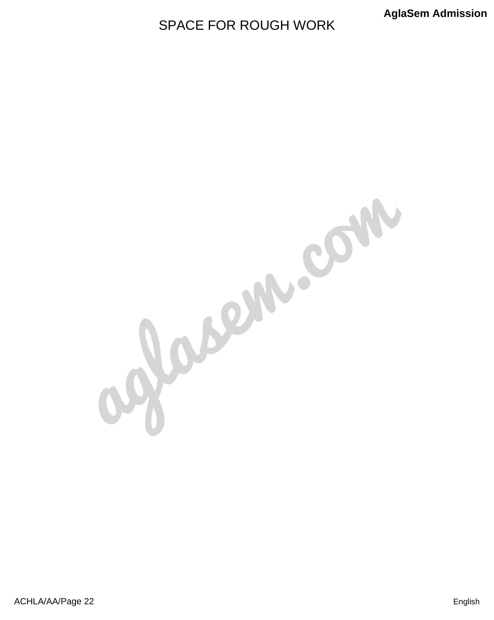## SPACE FOR ROUGH WORK

Jacon com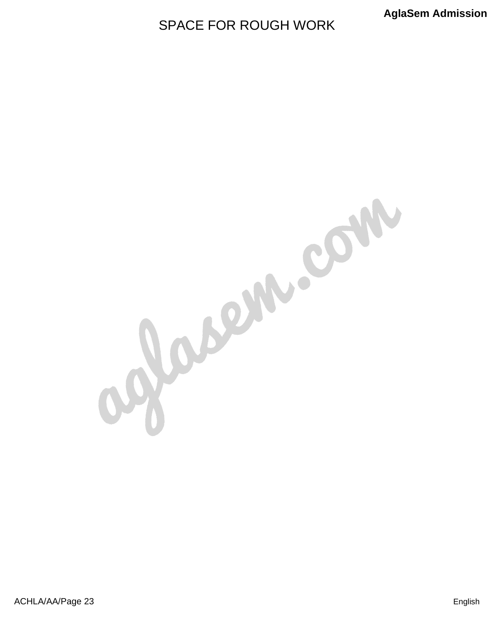## SPACE FOR ROUGH WORK

glassin.com